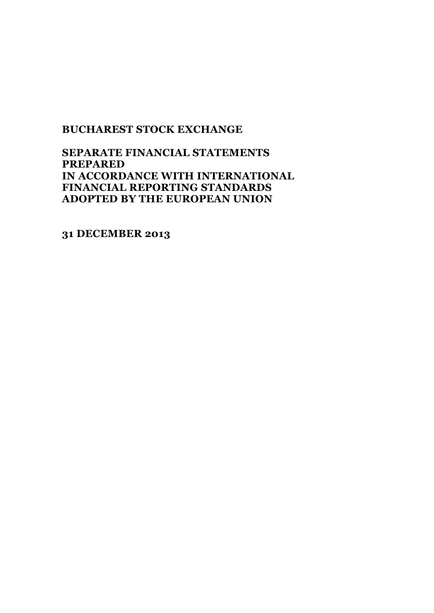# **SEPARATE FINANCIAL STATEMENTS PREPARED IN ACCORDANCE WITH INTERNATIONAL FINANCIAL REPORTING STANDARDS ADOPTED BY THE EUROPEAN UNION**

**31 DECEMBER 2013**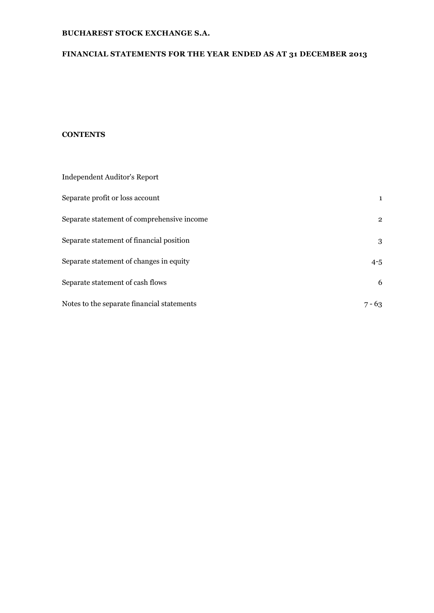# **FINANCIAL STATEMENTS FOR THE YEAR ENDED AS AT 31 DECEMBER 2013**

## **CONTENTS**

| Independent Auditor's Report               |                |
|--------------------------------------------|----------------|
| Separate profit or loss account            | $\mathbf{1}$   |
| Separate statement of comprehensive income | $\overline{2}$ |
| Separate statement of financial position   | 3              |
| Separate statement of changes in equity    | $4 - 5$        |
| Separate statement of cash flows           | 6              |
| Notes to the separate financial statements | $7 - 63$       |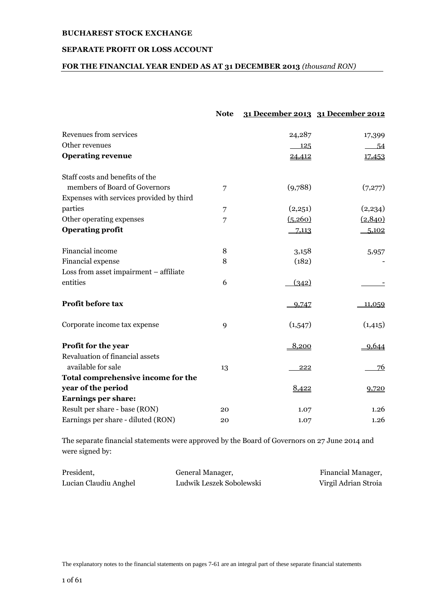## **SEPARATE PROFIT OR LOSS ACCOUNT**

# **FOR THE FINANCIAL YEAR ENDED AS AT 31 DECEMBER 2013** *(thousand RON)*

|                                                       | <b>Note</b> |         | 31 December 2013 31 December 2012 |
|-------------------------------------------------------|-------------|---------|-----------------------------------|
| Revenues from services                                |             | 24,287  | 17,399                            |
| Other revenues                                        |             | 125     | 54                                |
| <b>Operating revenue</b>                              |             | 24,412  | 17,453                            |
| Staff costs and benefits of the                       |             |         |                                   |
| members of Board of Governors                         | 7           | (9,788) | (7,277)                           |
| Expenses with services provided by third              |             |         |                                   |
| parties                                               | 7           | (2,251) | (2,234)                           |
| Other operating expenses                              | 7           | (5,260) | (2,840)                           |
| <b>Operating profit</b>                               |             | 7,113   | 5,102                             |
| Financial income                                      | 8           | 3,158   | 5,957                             |
| Financial expense                                     | 8           | (182)   |                                   |
| Loss from asset impairment - affiliate                |             |         |                                   |
| entities                                              | 6           | (342)   |                                   |
| Profit before tax                                     |             | 9,747   | 11,059                            |
| Corporate income tax expense                          | 9           | (1,547) | (1, 415)                          |
| Profit for the year                                   |             | 8,200   | 9,644                             |
| Revaluation of financial assets<br>available for sale | 13          | 222     | 76                                |
| Total comprehensive income for the                    |             |         |                                   |
| year of the period                                    |             | 8,422   | 9,720                             |
| <b>Earnings per share:</b>                            |             |         |                                   |
| Result per share - base (RON)                         | 20          | 1.07    | 1.26                              |
| Earnings per share - diluted (RON)                    | 20          | 1.07    | 1.26                              |
|                                                       |             |         |                                   |

The separate financial statements were approved by the Board of Governors on 27 June 2014 and were signed by:

| President,            | General Manager,         | Financial Manager,   |
|-----------------------|--------------------------|----------------------|
| Lucian Claudiu Anghel | Ludwik Leszek Sobolewski | Virgil Adrian Stroia |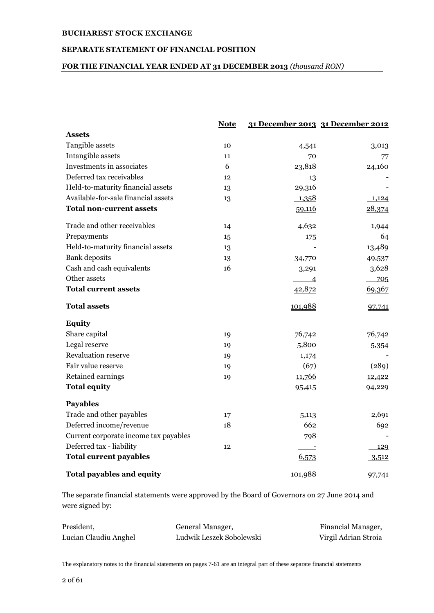## **SEPARATE STATEMENT OF FINANCIAL POSITION**

## **FOR THE FINANCIAL YEAR ENDED AT 31 DECEMBER 2013** *(thousand RON)*

|                                       | <b>Note</b> |                            | 31 December 2013 31 December 2012 |
|---------------------------------------|-------------|----------------------------|-----------------------------------|
| <b>Assets</b>                         |             |                            |                                   |
| Tangible assets                       | 10          | 4,541                      | 3,013                             |
| Intangible assets                     | 11          | 70                         | 77                                |
| Investments in associates             | 6           | 23,818                     | 24,160                            |
| Deferred tax receivables              | 12          | 13                         |                                   |
| Held-to-maturity financial assets     | 13          | 29,316                     |                                   |
| Available-for-sale financial assets   | 13          | 1,358                      | 1,124                             |
| <b>Total non-current assets</b>       |             | 59,116                     | 28,374                            |
| Trade and other receivables           | 14          | 4,632                      | 1,944                             |
| Prepayments                           | 15          | 175                        | 64                                |
| Held-to-maturity financial assets     | 13          |                            | 13,489                            |
| <b>Bank</b> deposits                  | 13          | 34,770                     | 49,537                            |
| Cash and cash equivalents             | 16          | 3,291                      | 3,628                             |
| Other assets                          |             | $\overline{\phantom{0}}$ 4 | 705                               |
| <b>Total current assets</b>           |             | 42,872                     | 69,367                            |
| <b>Total assets</b>                   |             | 101,988                    | 97,741                            |
| <b>Equity</b>                         |             |                            |                                   |
| Share capital                         | 19          | 76,742                     | 76,742                            |
| Legal reserve                         | 19          | 5,800                      | 5,354                             |
| <b>Revaluation reserve</b>            | 19          | 1,174                      |                                   |
| Fair value reserve                    | 19          | (67)                       | (289)                             |
| Retained earnings                     | 19          | 11,766                     | 12,422                            |
| <b>Total equity</b>                   |             | 95,415                     | 94,229                            |
| <b>Payables</b>                       |             |                            |                                   |
| Trade and other payables              | 17          | 5,113                      | 2,691                             |
| Deferred income/revenue               | 18          | 662                        | 692                               |
| Current corporate income tax payables |             | 798                        |                                   |
| Deferred tax - liability              | 12          |                            | 129                               |
| <b>Total current payables</b>         |             | 6,573                      | 3,512                             |
| <b>Total payables and equity</b>      |             | 101,988                    | 97,741                            |

The separate financial statements were approved by the Board of Governors on 27 June 2014 and were signed by:

| President,            | General Manager,         | Financial Manager,   |
|-----------------------|--------------------------|----------------------|
| Lucian Claudiu Anghel | Ludwik Leszek Sobolewski | Virgil Adrian Stroia |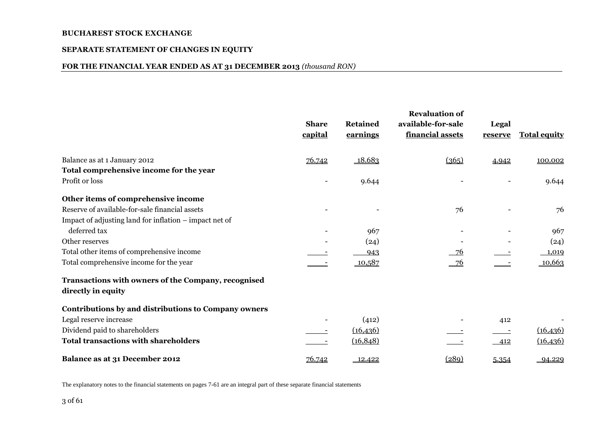#### **SEPARATE STATEMENT OF CHANGES IN EQUITY**

#### **FOR THE FINANCIAL YEAR ENDED AS AT 31 DECEMBER 2013** *(thousand RON)*

|                                                                           | <b>Share</b><br>capital  | <b>Retained</b><br>earnings | <b>Revaluation of</b><br>available-for-sale<br>financial assets | Legal<br>reserve | <b>Total equity</b> |
|---------------------------------------------------------------------------|--------------------------|-----------------------------|-----------------------------------------------------------------|------------------|---------------------|
| Balance as at 1 January 2012                                              | 76.742                   | 18.683                      | (365)                                                           | 4.942            | 100.002             |
| Total comprehensive income for the year                                   |                          |                             |                                                                 |                  |                     |
| Profit or loss                                                            | $\overline{\phantom{a}}$ | 9.644                       |                                                                 |                  | 9.644               |
| Other items of comprehensive income                                       |                          |                             |                                                                 |                  |                     |
| Reserve of available-for-sale financial assets                            |                          |                             | 76                                                              |                  | 76                  |
| Impact of adjusting land for inflation – impact net of                    |                          |                             |                                                                 |                  |                     |
| deferred tax                                                              |                          | 967                         |                                                                 |                  | 967                 |
| Other reserves                                                            |                          | (24)                        |                                                                 |                  | (24)                |
| Total other items of comprehensive income                                 |                          | 943                         | 76                                                              |                  | 1,019               |
| Total comprehensive income for the year                                   |                          | 10,587                      | $-76$                                                           |                  | 10,663              |
| Transactions with owners of the Company, recognised<br>directly in equity |                          |                             |                                                                 |                  |                     |
|                                                                           |                          |                             |                                                                 |                  |                     |
| Contributions by and distributions to Company owners                      |                          |                             |                                                                 |                  |                     |
| Legal reserve increase                                                    |                          | (412)                       |                                                                 | 412              |                     |
| Dividend paid to shareholders                                             |                          | (16, 436)                   |                                                                 |                  | (16, 436)           |
| <b>Total transactions with shareholders</b>                               |                          | (16, 848)                   |                                                                 | 412              | (16, 436)           |
| Balance as at 31 December 2012                                            | 76.742                   | 12.422                      | (289)                                                           | 5.354            | 94.229              |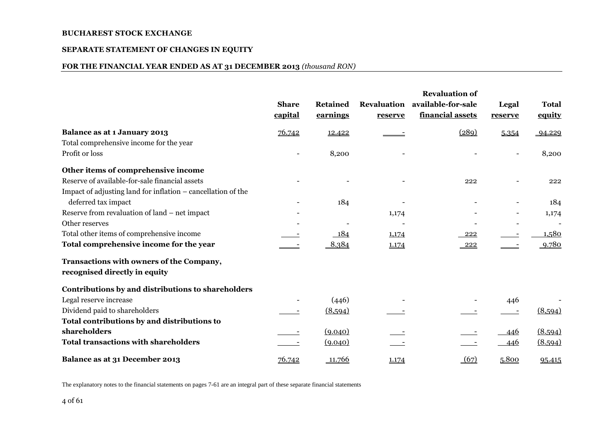#### **SEPARATE STATEMENT OF CHANGES IN EQUITY**

#### **FOR THE FINANCIAL YEAR ENDED AS AT 31 DECEMBER 2013** *(thousand RON)*

|                                                              |                          |                 |         | <b>Revaluation of</b>          |         |                          |
|--------------------------------------------------------------|--------------------------|-----------------|---------|--------------------------------|---------|--------------------------|
|                                                              | <b>Share</b>             | <b>Retained</b> |         | Revaluation available-for-sale | Legal   | <b>Total</b>             |
|                                                              | capital                  | earnings        | reserve | financial assets               | reserve | equity                   |
| <b>Balance as at 1 January 2013</b>                          | 76.742                   | 12.422          |         | (289)                          | 5.354   | 94.229                   |
| Total comprehensive income for the year                      |                          |                 |         |                                |         |                          |
| Profit or loss                                               | $\overline{\phantom{0}}$ | 8,200           |         |                                |         | 8,200                    |
| Other items of comprehensive income                          |                          |                 |         |                                |         |                          |
| Reserve of available-for-sale financial assets               |                          |                 |         | 222                            |         | 222                      |
| Impact of adjusting land for inflation – cancellation of the |                          |                 |         |                                |         |                          |
| deferred tax impact                                          |                          | 184             |         |                                |         | 184                      |
| Reserve from revaluation of land – net impact                |                          |                 | 1,174   |                                |         | 1,174                    |
| Other reserves                                               |                          |                 |         |                                |         | $\overline{\phantom{a}}$ |
| Total other items of comprehensive income                    |                          | 184             | 1,174   | 222                            |         | 1,580                    |
| Total comprehensive income for the year                      |                          | 8.384           | 1.174   | $-222$                         |         | 9.780                    |
| Transactions with owners of the Company,                     |                          |                 |         |                                |         |                          |
| recognised directly in equity                                |                          |                 |         |                                |         |                          |
| Contributions by and distributions to shareholders           |                          |                 |         |                                |         |                          |
| Legal reserve increase                                       |                          | (446)           |         |                                | 446     |                          |
| Dividend paid to shareholders                                |                          | (8,594)         |         |                                |         | (8,594)                  |
| Total contributions by and distributions to                  |                          |                 |         |                                |         |                          |
| shareholders                                                 |                          | (9.040)         |         |                                | 446     | (8.594)                  |
| <b>Total transactions with shareholders</b>                  |                          | (9.040)         |         |                                | 446     | (8.594)                  |
| Balance as at 31 December 2013                               | 76.742                   | 11.766          | 1.174   | (67)                           | 5.800   | 95.415                   |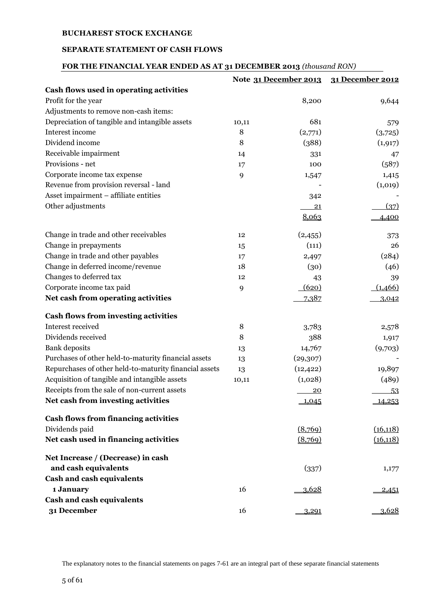### **SEPARATE STATEMENT OF CASH FLOWS**

# **FOR THE FINANCIAL YEAR ENDED AS AT 31 DECEMBER 2013** *(thousand RON)*

|                                                        |       | Note 31 December 2013 | 31 December 2012 |
|--------------------------------------------------------|-------|-----------------------|------------------|
| Cash flows used in operating activities                |       |                       |                  |
| Profit for the year                                    |       | 8,200                 | 9,644            |
| Adjustments to remove non-cash items:                  |       |                       |                  |
| Depreciation of tangible and intangible assets         | 10,11 | 681                   | 579              |
| Interest income                                        | 8     | (2,771)               | (3,725)          |
| Dividend income                                        | 8     | (388)                 | (1, 917)         |
| Receivable impairment                                  | 14    | 331                   | 47               |
| Provisions - net                                       | 17    | 100                   | (587)            |
| Corporate income tax expense                           | 9     | 1,547                 | 1,415            |
| Revenue from provision reversal - land                 |       |                       | (1,019)          |
| Asset impairment - affiliate entities                  |       | 342                   |                  |
| Other adjustments                                      |       | 21                    | (37)             |
|                                                        |       | 8,063                 | 4,400            |
| Change in trade and other receivables                  | 12    | (2, 455)              | 373              |
| Change in prepayments                                  | 15    | (111)                 | 26               |
| Change in trade and other payables                     | 17    | 2,497                 | (284)            |
| Change in deferred income/revenue                      | 18    | (30)                  | (46)             |
| Changes to deferred tax                                | 12    | 43                    | 39               |
| Corporate income tax paid                              | 9     | (620)                 | (1,466)          |
| Net cash from operating activities                     |       | 7,387                 | 3,042            |
| <b>Cash flows from investing activities</b>            |       |                       |                  |
| Interest received                                      | 8     | 3,783                 | 2,578            |
| Dividends received                                     | 8     | 388                   | 1,917            |
| <b>Bank</b> deposits                                   | 13    | 14,767                | (9,703)          |
| Purchases of other held-to-maturity financial assets   | 13    | (29, 307)             |                  |
| Repurchases of other held-to-maturity financial assets | 13    | (12, 422)             | 19,897           |
| Acquisition of tangible and intangible assets          | 10,11 | (1,028)               | (489)            |
| Receipts from the sale of non-current assets           |       | 20                    | 53               |
| Net cash from investing activities                     |       | $-1,045$              | 14,253           |
| <b>Cash flows from financing activities</b>            |       |                       |                  |
| Dividends paid                                         |       | (8,769)               | (16, 118)        |
| Net cash used in financing activities                  |       | (8,769)               | (16, 118)        |
| Net Increase / (Decrease) in cash                      |       |                       |                  |
| and cash equivalents                                   |       | (337)                 | 1,177            |
| Cash and cash equivalents                              |       |                       |                  |
| 1 January                                              | 16    | 3,628                 | <u>2,451</u>     |
| <b>Cash and cash equivalents</b>                       |       |                       |                  |
| 31 December                                            | 16    | 3,291                 | 3,628            |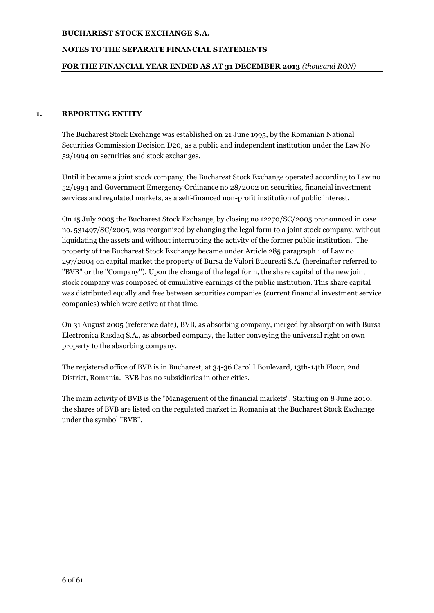## **NOTES TO THE SEPARATE FINANCIAL STATEMENTS**

#### **FOR THE FINANCIAL YEAR ENDED AS AT 31 DECEMBER 2013** *(thousand RON)*

#### **1. REPORTING ENTITY**

The Bucharest Stock Exchange was established on 21 June 1995, by the Romanian National Securities Commission Decision D20, as a public and independent institution under the Law No 52/1994 on securities and stock exchanges.

Until it became a joint stock company, the Bucharest Stock Exchange operated according to Law no 52/1994 and Government Emergency Ordinance no 28/2002 on securities, financial investment services and regulated markets, as a self-financed non-profit institution of public interest.

On 15 July 2005 the Bucharest Stock Exchange, by closing no 12270/SC/2005 pronounced in case no. 531497/SC/2005, was reorganized by changing the legal form to a joint stock company, without liquidating the assets and without interrupting the activity of the former public institution. The property of the Bucharest Stock Exchange became under Article 285 paragraph 1 of Law no 297/2004 on capital market the property of Bursa de Valori Bucuresti S.A. (hereinafter referred to ''BVB'' or the ''Company''). Upon the change of the legal form, the share capital of the new joint stock company was composed of cumulative earnings of the public institution. This share capital was distributed equally and free between securities companies (current financial investment service companies) which were active at that time.

On 31 August 2005 (reference date), BVB, as absorbing company, merged by absorption with Bursa Electronica Rasdaq S.A., as absorbed company, the latter conveying the universal right on own property to the absorbing company.

The registered office of BVB is in Bucharest, at 34-36 Carol I Boulevard, 13th-14th Floor, 2nd District, Romania. BVB has no subsidiaries in other cities.

The main activity of BVB is the "Management of the financial markets". Starting on 8 June 2010, the shares of BVB are listed on the regulated market in Romania at the Bucharest Stock Exchange under the symbol "BVB".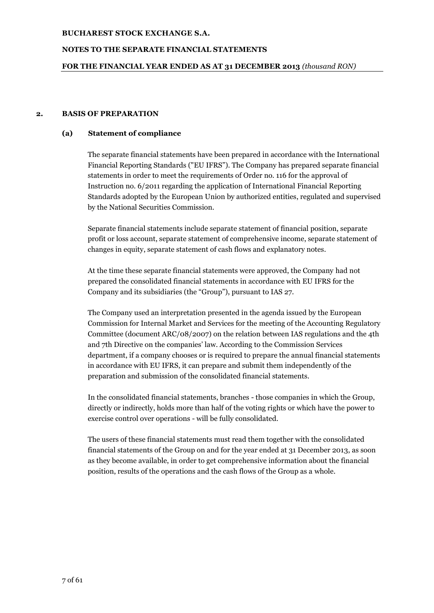### **NOTES TO THE SEPARATE FINANCIAL STATEMENTS**

### **FOR THE FINANCIAL YEAR ENDED AS AT 31 DECEMBER 2013** *(thousand RON)*

#### **2. BASIS OF PREPARATION**

#### **(a) Statement of compliance**

The separate financial statements have been prepared in accordance with the International Financial Reporting Standards ("EU IFRS"). The Company has prepared separate financial statements in order to meet the requirements of Order no. 116 for the approval of Instruction no. 6/2011 regarding the application of International Financial Reporting Standards adopted by the European Union by authorized entities, regulated and supervised by the National Securities Commission.

Separate financial statements include separate statement of financial position, separate profit or loss account, separate statement of comprehensive income, separate statement of changes in equity, separate statement of cash flows and explanatory notes.

At the time these separate financial statements were approved, the Company had not prepared the consolidated financial statements in accordance with EU IFRS for the Company and its subsidiaries (the "Group"), pursuant to IAS 27.

The Company used an interpretation presented in the agenda issued by the European Commission for Internal Market and Services for the meeting of the Accounting Regulatory Committee (document ARC/08/2007) on the relation between IAS regulations and the 4th and 7th Directive on the companies' law. According to the Commission Services department, if a company chooses or is required to prepare the annual financial statements in accordance with EU IFRS, it can prepare and submit them independently of the preparation and submission of the consolidated financial statements.

In the consolidated financial statements, branches - those companies in which the Group, directly or indirectly, holds more than half of the voting rights or which have the power to exercise control over operations - will be fully consolidated.

The users of these financial statements must read them together with the consolidated financial statements of the Group on and for the year ended at 31 December 2013, as soon as they become available, in order to get comprehensive information about the financial position, results of the operations and the cash flows of the Group as a whole.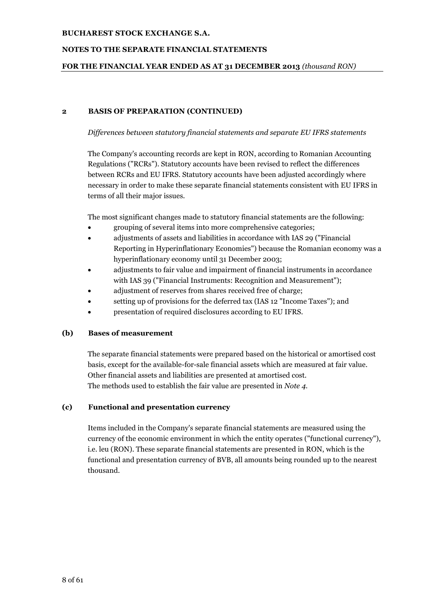## **NOTES TO THE SEPARATE FINANCIAL STATEMENTS**

#### **FOR THE FINANCIAL YEAR ENDED AS AT 31 DECEMBER 2013** *(thousand RON)*

#### **2 BASIS OF PREPARATION (CONTINUED)**

#### *Differences between statutory financial statements and separate EU IFRS statements*

The Company's accounting records are kept in RON, according to Romanian Accounting Regulations ("RCRs"). Statutory accounts have been revised to reflect the differences between RCRs and EU IFRS. Statutory accounts have been adjusted accordingly where necessary in order to make these separate financial statements consistent with EU IFRS in terms of all their major issues.

The most significant changes made to statutory financial statements are the following:

- grouping of several items into more comprehensive categories;
- adjustments of assets and liabilities in accordance with IAS 29 ("Financial Reporting in Hyperinflationary Economies") because the Romanian economy was a hyperinflationary economy until 31 December 2003;
- adjustments to fair value and impairment of financial instruments in accordance with IAS 39 ("Financial Instruments: Recognition and Measurement");
- adjustment of reserves from shares received free of charge;
- setting up of provisions for the deferred tax (IAS 12 "Income Taxes"); and
- presentation of required disclosures according to EU IFRS.

## **(b) Bases of measurement**

The separate financial statements were prepared based on the historical or amortised cost basis, except for the available-for-sale financial assets which are measured at fair value. Other financial assets and liabilities are presented at amortised cost. The methods used to establish the fair value are presented in *Note 4*.

## **(c) Functional and presentation currency**

Items included in the Company's separate financial statements are measured using the currency of the economic environment in which the entity operates ("functional currency"), i.e. leu (RON). These separate financial statements are presented in RON, which is the functional and presentation currency of BVB, all amounts being rounded up to the nearest thousand.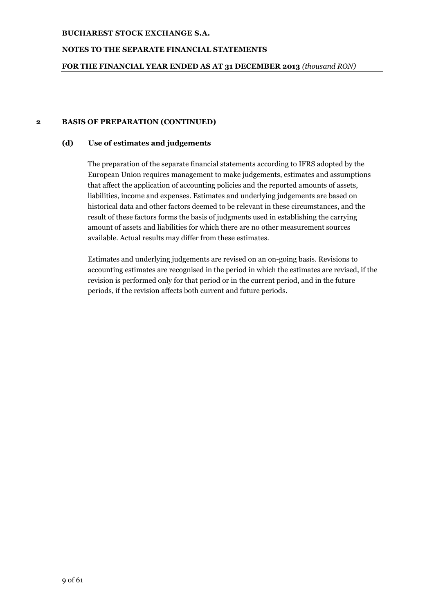### **NOTES TO THE SEPARATE FINANCIAL STATEMENTS**

### **FOR THE FINANCIAL YEAR ENDED AS AT 31 DECEMBER 2013** *(thousand RON)*

#### **2 BASIS OF PREPARATION (CONTINUED)**

#### **(d) Use of estimates and judgements**

The preparation of the separate financial statements according to IFRS adopted by the European Union requires management to make judgements, estimates and assumptions that affect the application of accounting policies and the reported amounts of assets, liabilities, income and expenses. Estimates and underlying judgements are based on historical data and other factors deemed to be relevant in these circumstances, and the result of these factors forms the basis of judgments used in establishing the carrying amount of assets and liabilities for which there are no other measurement sources available. Actual results may differ from these estimates.

Estimates and underlying judgements are revised on an on-going basis. Revisions to accounting estimates are recognised in the period in which the estimates are revised, if the revision is performed only for that period or in the current period, and in the future periods, if the revision affects both current and future periods.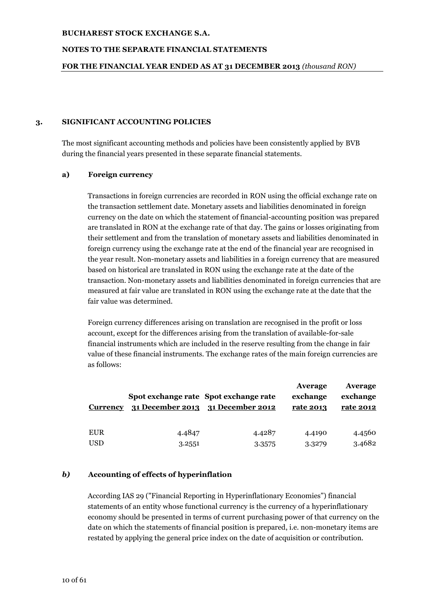### **NOTES TO THE SEPARATE FINANCIAL STATEMENTS**

#### **FOR THE FINANCIAL YEAR ENDED AS AT 31 DECEMBER 2013** *(thousand RON)*

#### **3. SIGNIFICANT ACCOUNTING POLICIES**

The most significant accounting methods and policies have been consistently applied by BVB during the financial years presented in these separate financial statements.

#### **a) Foreign currency**

Transactions in foreign currencies are recorded in RON using the official exchange rate on the transaction settlement date. Monetary assets and liabilities denominated in foreign currency on the date on which the statement of financial-accounting position was prepared are translated in RON at the exchange rate of that day. The gains or losses originating from their settlement and from the translation of monetary assets and liabilities denominated in foreign currency using the exchange rate at the end of the financial year are recognised in the year result. Non-monetary assets and liabilities in a foreign currency that are measured based on historical are translated in RON using the exchange rate at the date of the transaction. Non-monetary assets and liabilities denominated in foreign currencies that are measured at fair value are translated in RON using the exchange rate at the date that the fair value was determined.

Foreign currency differences arising on translation are recognised in the profit or loss account, except for the differences arising from the translation of available-for-sale financial instruments which are included in the reserve resulting from the change in fair value of these financial instruments. The exchange rates of the main foreign currencies are as follows:

| <b>Currency</b> |        | Spot exchange rate Spot exchange rate<br>31 December 2013 31 December 2012 | Average<br>exchange<br>rate 2013 | Average<br>exchange<br>rate 2012 |
|-----------------|--------|----------------------------------------------------------------------------|----------------------------------|----------------------------------|
| <b>EUR</b>      | 4.4847 | 4.4287                                                                     | 4.4190                           | 4.4560                           |
| <b>USD</b>      | 3.2551 | 3.3575                                                                     | 3.3279                           | 3.4682                           |

## *b)* **Accounting of effects of hyperinflation**

According IAS 29 ("Financial Reporting in Hyperinflationary Economies") financial statements of an entity whose functional currency is the currency of a hyperinflationary economy should be presented in terms of current purchasing power of that currency on the date on which the statements of financial position is prepared, i.e. non-monetary items are restated by applying the general price index on the date of acquisition or contribution.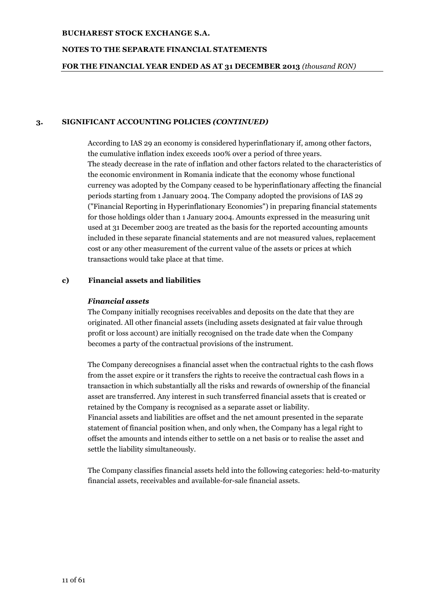### **NOTES TO THE SEPARATE FINANCIAL STATEMENTS**

#### **FOR THE FINANCIAL YEAR ENDED AS AT 31 DECEMBER 2013** *(thousand RON)*

### **3. SIGNIFICANT ACCOUNTING POLICIES** *(CONTINUED)*

According to IAS 29 an economy is considered hyperinflationary if, among other factors, the cumulative inflation index exceeds 100% over a period of three years. The steady decrease in the rate of inflation and other factors related to the characteristics of the economic environment in Romania indicate that the economy whose functional currency was adopted by the Company ceased to be hyperinflationary affecting the financial periods starting from 1 January 2004. The Company adopted the provisions of IAS 29 ("Financial Reporting in Hyperinflationary Economies") in preparing financial statements for those holdings older than 1 January 2004. Amounts expressed in the measuring unit used at 31 December 2003 are treated as the basis for the reported accounting amounts included in these separate financial statements and are not measured values, replacement cost or any other measurement of the current value of the assets or prices at which transactions would take place at that time.

#### **c) Financial assets and liabilities**

#### *Financial assets*

The Company initially recognises receivables and deposits on the date that they are originated. All other financial assets (including assets designated at fair value through profit or loss account) are initially recognised on the trade date when the Company becomes a party of the contractual provisions of the instrument.

The Company derecognises a financial asset when the contractual rights to the cash flows from the asset expire or it transfers the rights to receive the contractual cash flows in a transaction in which substantially all the risks and rewards of ownership of the financial asset are transferred. Any interest in such transferred financial assets that is created or retained by the Company is recognised as a separate asset or liability. Financial assets and liabilities are offset and the net amount presented in the separate statement of financial position when, and only when, the Company has a legal right to offset the amounts and intends either to settle on a net basis or to realise the asset and settle the liability simultaneously.

The Company classifies financial assets held into the following categories: held-to-maturity financial assets, receivables and available-for-sale financial assets.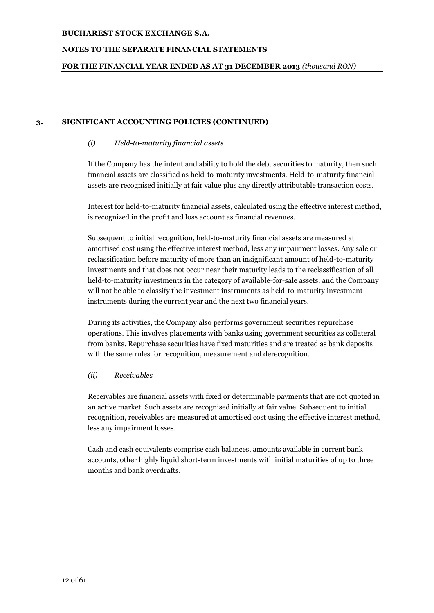## **NOTES TO THE SEPARATE FINANCIAL STATEMENTS**

### **FOR THE FINANCIAL YEAR ENDED AS AT 31 DECEMBER 2013** *(thousand RON)*

#### **3. SIGNIFICANT ACCOUNTING POLICIES (CONTINUED)**

#### *(i) Held-to-maturity financial assets*

If the Company has the intent and ability to hold the debt securities to maturity, then such financial assets are classified as held-to-maturity investments. Held-to-maturity financial assets are recognised initially at fair value plus any directly attributable transaction costs.

Interest for held-to-maturity financial assets, calculated using the effective interest method, is recognized in the profit and loss account as financial revenues.

Subsequent to initial recognition, held-to-maturity financial assets are measured at amortised cost using the effective interest method, less any impairment losses. Any sale or reclassification before maturity of more than an insignificant amount of held-to-maturity investments and that does not occur near their maturity leads to the reclassification of all held-to-maturity investments in the category of available-for-sale assets, and the Company will not be able to classify the investment instruments as held-to-maturity investment instruments during the current year and the next two financial years.

During its activities, the Company also performs government securities repurchase operations. This involves placements with banks using government securities as collateral from banks. Repurchase securities have fixed maturities and are treated as bank deposits with the same rules for recognition, measurement and derecognition.

#### *(ii) Receivables*

Receivables are financial assets with fixed or determinable payments that are not quoted in an active market. Such assets are recognised initially at fair value. Subsequent to initial recognition, receivables are measured at amortised cost using the effective interest method, less any impairment losses.

Cash and cash equivalents comprise cash balances, amounts available in current bank accounts, other highly liquid short-term investments with initial maturities of up to three months and bank overdrafts.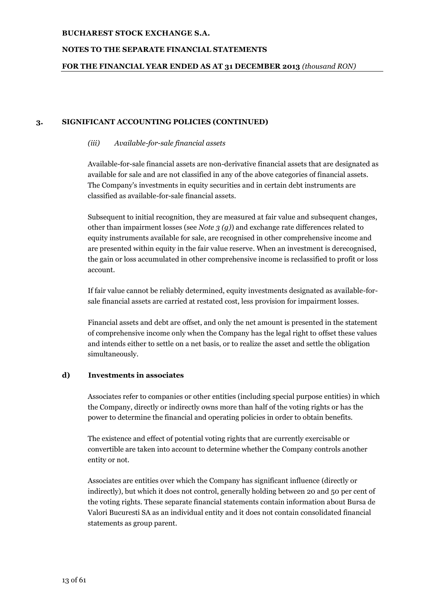### **NOTES TO THE SEPARATE FINANCIAL STATEMENTS**

### **FOR THE FINANCIAL YEAR ENDED AS AT 31 DECEMBER 2013** *(thousand RON)*

### **3. SIGNIFICANT ACCOUNTING POLICIES (CONTINUED)**

#### *(iii) Available-for-sale financial assets*

Available-for-sale financial assets are non-derivative financial assets that are designated as available for sale and are not classified in any of the above categories of financial assets. The Company's investments in equity securities and in certain debt instruments are classified as available-for-sale financial assets.

Subsequent to initial recognition, they are measured at fair value and subsequent changes, other than impairment losses (see *Note 3 (g)*) and exchange rate differences related to equity instruments available for sale, are recognised in other comprehensive income and are presented within equity in the fair value reserve. When an investment is derecognised, the gain or loss accumulated in other comprehensive income is reclassified to profit or loss account.

If fair value cannot be reliably determined, equity investments designated as available-forsale financial assets are carried at restated cost, less provision for impairment losses.

Financial assets and debt are offset, and only the net amount is presented in the statement of comprehensive income only when the Company has the legal right to offset these values and intends either to settle on a net basis, or to realize the asset and settle the obligation simultaneously.

#### **d) Investments in associates**

Associates refer to companies or other entities (including special purpose entities) in which the Company, directly or indirectly owns more than half of the voting rights or has the power to determine the financial and operating policies in order to obtain benefits.

The existence and effect of potential voting rights that are currently exercisable or convertible are taken into account to determine whether the Company controls another entity or not.

Associates are entities over which the Company has significant influence (directly or indirectly), but which it does not control, generally holding between 20 and 50 per cent of the voting rights. These separate financial statements contain information about Bursa de Valori Bucuresti SA as an individual entity and it does not contain consolidated financial statements as group parent.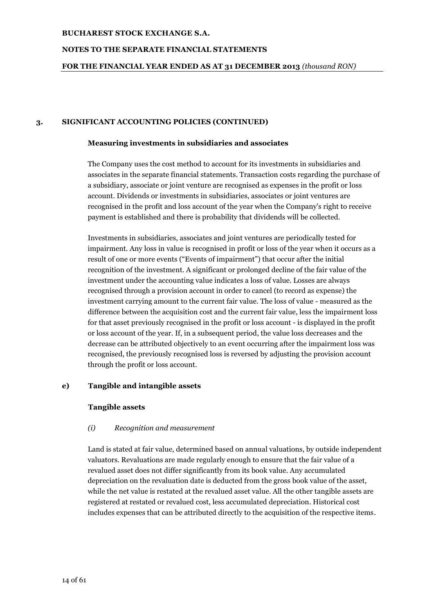### **NOTES TO THE SEPARATE FINANCIAL STATEMENTS**

### **FOR THE FINANCIAL YEAR ENDED AS AT 31 DECEMBER 2013** *(thousand RON)*

#### **3. SIGNIFICANT ACCOUNTING POLICIES (CONTINUED)**

#### **Measuring investments in subsidiaries and associates**

The Company uses the cost method to account for its investments in subsidiaries and associates in the separate financial statements. Transaction costs regarding the purchase of a subsidiary, associate or joint venture are recognised as expenses in the profit or loss account. Dividends or investments in subsidiaries, associates or joint ventures are recognised in the profit and loss account of the year when the Company's right to receive payment is established and there is probability that dividends will be collected.

Investments in subsidiaries, associates and joint ventures are periodically tested for impairment. Any loss in value is recognised in profit or loss of the year when it occurs as a result of one or more events ("Events of impairment") that occur after the initial recognition of the investment. A significant or prolonged decline of the fair value of the investment under the accounting value indicates a loss of value. Losses are always recognised through a provision account in order to cancel (to record as expense) the investment carrying amount to the current fair value. The loss of value - measured as the difference between the acquisition cost and the current fair value, less the impairment loss for that asset previously recognised in the profit or loss account - is displayed in the profit or loss account of the year. If, in a subsequent period, the value loss decreases and the decrease can be attributed objectively to an event occurring after the impairment loss was recognised, the previously recognised loss is reversed by adjusting the provision account through the profit or loss account.

## **e) Tangible and intangible assets**

#### **Tangible assets**

## *(i) Recognition and measurement*

Land is stated at fair value, determined based on annual valuations, by outside independent valuators. Revaluations are made regularly enough to ensure that the fair value of a revalued asset does not differ significantly from its book value. Any accumulated depreciation on the revaluation date is deducted from the gross book value of the asset, while the net value is restated at the revalued asset value. All the other tangible assets are registered at restated or revalued cost, less accumulated depreciation. Historical cost includes expenses that can be attributed directly to the acquisition of the respective items.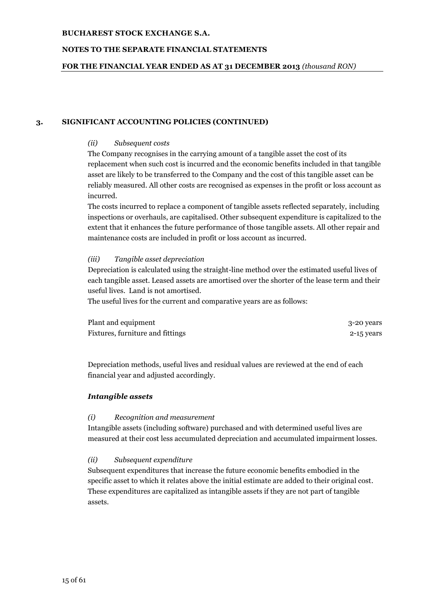### **NOTES TO THE SEPARATE FINANCIAL STATEMENTS**

#### **FOR THE FINANCIAL YEAR ENDED AS AT 31 DECEMBER 2013** *(thousand RON)*

#### **3. SIGNIFICANT ACCOUNTING POLICIES (CONTINUED)**

#### *(ii) Subsequent costs*

The Company recognises in the carrying amount of a tangible asset the cost of its replacement when such cost is incurred and the economic benefits included in that tangible asset are likely to be transferred to the Company and the cost of this tangible asset can be reliably measured. All other costs are recognised as expenses in the profit or loss account as incurred.

The costs incurred to replace a component of tangible assets reflected separately, including inspections or overhauls, are capitalised. Other subsequent expenditure is capitalized to the extent that it enhances the future performance of those tangible assets. All other repair and maintenance costs are included in profit or loss account as incurred.

#### *(iii) Tangible asset depreciation*

Depreciation is calculated using the straight-line method over the estimated useful lives of each tangible asset. Leased assets are amortised over the shorter of the lease term and their useful lives. Land is not amortised.

The useful lives for the current and comparative years are as follows:

| Plant and equipment              | 3-20 years |
|----------------------------------|------------|
| Fixtures, furniture and fittings | 2-15 years |

Depreciation methods, useful lives and residual values are reviewed at the end of each financial year and adjusted accordingly.

#### *Intangible assets*

#### *(i) Recognition and measurement*

Intangible assets (including software) purchased and with determined useful lives are measured at their cost less accumulated depreciation and accumulated impairment losses.

## *(ii) Subsequent expenditure*

Subsequent expenditures that increase the future economic benefits embodied in the specific asset to which it relates above the initial estimate are added to their original cost. These expenditures are capitalized as intangible assets if they are not part of tangible assets.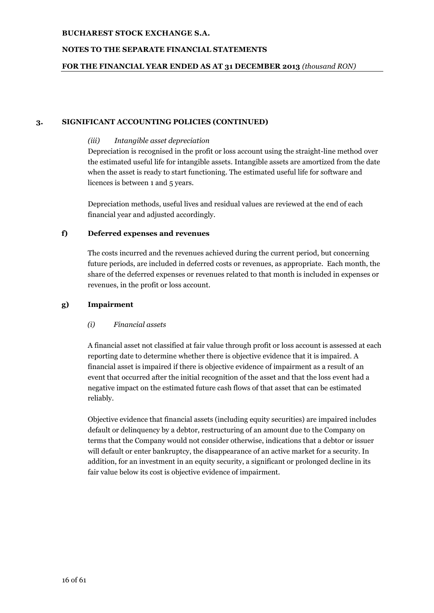## **NOTES TO THE SEPARATE FINANCIAL STATEMENTS**

### **FOR THE FINANCIAL YEAR ENDED AS AT 31 DECEMBER 2013** *(thousand RON)*

#### **3. SIGNIFICANT ACCOUNTING POLICIES (CONTINUED)**

#### *(iii) Intangible asset depreciation*

Depreciation is recognised in the profit or loss account using the straight-line method over the estimated useful life for intangible assets. Intangible assets are amortized from the date when the asset is ready to start functioning. The estimated useful life for software and licences is between 1 and 5 years.

Depreciation methods, useful lives and residual values are reviewed at the end of each financial year and adjusted accordingly.

#### **f) Deferred expenses and revenues**

The costs incurred and the revenues achieved during the current period, but concerning future periods, are included in deferred costs or revenues, as appropriate. Each month, the share of the deferred expenses or revenues related to that month is included in expenses or revenues, in the profit or loss account.

#### **g) Impairment**

## *(i) Financial assets*

A financial asset not classified at fair value through profit or loss account is assessed at each reporting date to determine whether there is objective evidence that it is impaired. A financial asset is impaired if there is objective evidence of impairment as a result of an event that occurred after the initial recognition of the asset and that the loss event had a negative impact on the estimated future cash flows of that asset that can be estimated reliably.

Objective evidence that financial assets (including equity securities) are impaired includes default or delinquency by a debtor, restructuring of an amount due to the Company on terms that the Company would not consider otherwise, indications that a debtor or issuer will default or enter bankruptcy, the disappearance of an active market for a security. In addition, for an investment in an equity security, a significant or prolonged decline in its fair value below its cost is objective evidence of impairment.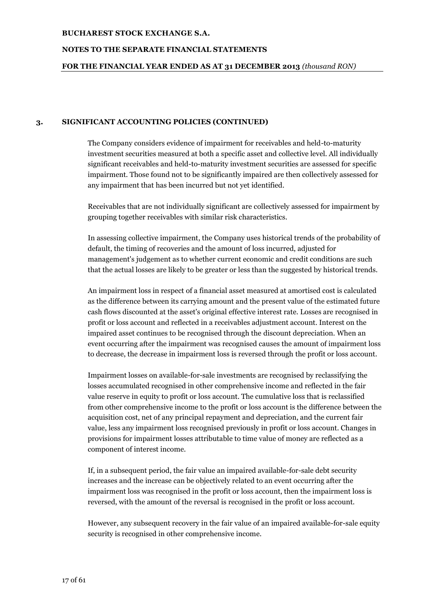### **NOTES TO THE SEPARATE FINANCIAL STATEMENTS**

#### **FOR THE FINANCIAL YEAR ENDED AS AT 31 DECEMBER 2013** *(thousand RON)*

#### **3. SIGNIFICANT ACCOUNTING POLICIES (CONTINUED)**

The Company considers evidence of impairment for receivables and held-to-maturity investment securities measured at both a specific asset and collective level. All individually significant receivables and held-to-maturity investment securities are assessed for specific impairment. Those found not to be significantly impaired are then collectively assessed for any impairment that has been incurred but not yet identified.

Receivables that are not individually significant are collectively assessed for impairment by grouping together receivables with similar risk characteristics.

In assessing collective impairment, the Company uses historical trends of the probability of default, the timing of recoveries and the amount of loss incurred, adjusted for management's judgement as to whether current economic and credit conditions are such that the actual losses are likely to be greater or less than the suggested by historical trends.

An impairment loss in respect of a financial asset measured at amortised cost is calculated as the difference between its carrying amount and the present value of the estimated future cash flows discounted at the asset's original effective interest rate. Losses are recognised in profit or loss account and reflected in a receivables adjustment account. Interest on the impaired asset continues to be recognised through the discount depreciation. When an event occurring after the impairment was recognised causes the amount of impairment loss to decrease, the decrease in impairment loss is reversed through the profit or loss account.

Impairment losses on available-for-sale investments are recognised by reclassifying the losses accumulated recognised in other comprehensive income and reflected in the fair value reserve in equity to profit or loss account. The cumulative loss that is reclassified from other comprehensive income to the profit or loss account is the difference between the acquisition cost, net of any principal repayment and depreciation, and the current fair value, less any impairment loss recognised previously in profit or loss account. Changes in provisions for impairment losses attributable to time value of money are reflected as a component of interest income.

If, in a subsequent period, the fair value an impaired available-for-sale debt security increases and the increase can be objectively related to an event occurring after the impairment loss was recognised in the profit or loss account, then the impairment loss is reversed, with the amount of the reversal is recognised in the profit or loss account.

However, any subsequent recovery in the fair value of an impaired available-for-sale equity security is recognised in other comprehensive income.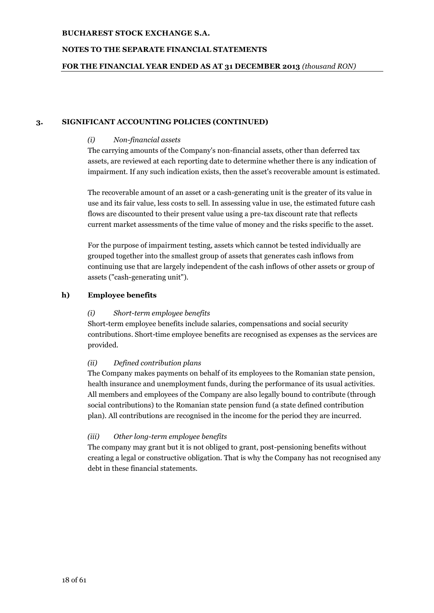### **NOTES TO THE SEPARATE FINANCIAL STATEMENTS**

#### **FOR THE FINANCIAL YEAR ENDED AS AT 31 DECEMBER 2013** *(thousand RON)*

#### **3. SIGNIFICANT ACCOUNTING POLICIES (CONTINUED)**

#### *(i) Non-financial assets*

The carrying amounts of the Company's non-financial assets, other than deferred tax assets, are reviewed at each reporting date to determine whether there is any indication of impairment. If any such indication exists, then the asset's recoverable amount is estimated.

The recoverable amount of an asset or a cash-generating unit is the greater of its value in use and its fair value, less costs to sell. In assessing value in use, the estimated future cash flows are discounted to their present value using a pre-tax discount rate that reflects current market assessments of the time value of money and the risks specific to the asset.

For the purpose of impairment testing, assets which cannot be tested individually are grouped together into the smallest group of assets that generates cash inflows from continuing use that are largely independent of the cash inflows of other assets or group of assets ("cash-generating unit").

#### **h) Employee benefits**

#### *(i) Short-term employee benefits*

Short-term employee benefits include salaries, compensations and social security contributions. Short-time employee benefits are recognised as expenses as the services are provided.

#### *(ii) Defined contribution plans*

The Company makes payments on behalf of its employees to the Romanian state pension, health insurance and unemployment funds, during the performance of its usual activities. All members and employees of the Company are also legally bound to contribute (through social contributions) to the Romanian state pension fund (a state defined contribution plan). All contributions are recognised in the income for the period they are incurred.

## *(iii) Other long-term employee benefits*

The company may grant but it is not obliged to grant, post-pensioning benefits without creating a legal or constructive obligation. That is why the Company has not recognised any debt in these financial statements.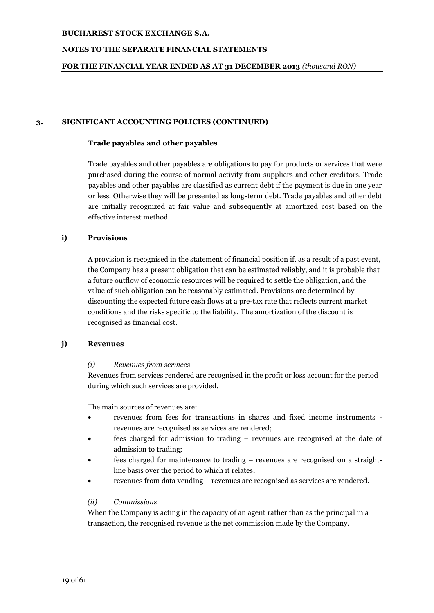### **NOTES TO THE SEPARATE FINANCIAL STATEMENTS**

### **FOR THE FINANCIAL YEAR ENDED AS AT 31 DECEMBER 2013** *(thousand RON)*

#### **3. SIGNIFICANT ACCOUNTING POLICIES (CONTINUED)**

#### **Trade payables and other payables**

Trade payables and other payables are obligations to pay for products or services that were purchased during the course of normal activity from suppliers and other creditors. Trade payables and other payables are classified as current debt if the payment is due in one year or less. Otherwise they will be presented as long-term debt. Trade payables and other debt are initially recognized at fair value and subsequently at amortized cost based on the effective interest method.

## **i) Provisions**

A provision is recognised in the statement of financial position if, as a result of a past event, the Company has a present obligation that can be estimated reliably, and it is probable that a future outflow of economic resources will be required to settle the obligation, and the value of such obligation can be reasonably estimated. Provisions are determined by discounting the expected future cash flows at a pre-tax rate that reflects current market conditions and the risks specific to the liability. The amortization of the discount is recognised as financial cost.

## **j) Revenues**

#### *(i) Revenues from services*

Revenues from services rendered are recognised in the profit or loss account for the period during which such services are provided.

The main sources of revenues are:

- revenues from fees for transactions in shares and fixed income instruments revenues are recognised as services are rendered;
- fees charged for admission to trading revenues are recognised at the date of admission to trading;
- fees charged for maintenance to trading revenues are recognised on a straightline basis over the period to which it relates;
- revenues from data vending revenues are recognised as services are rendered.

## *(ii) Commissions*

When the Company is acting in the capacity of an agent rather than as the principal in a transaction, the recognised revenue is the net commission made by the Company.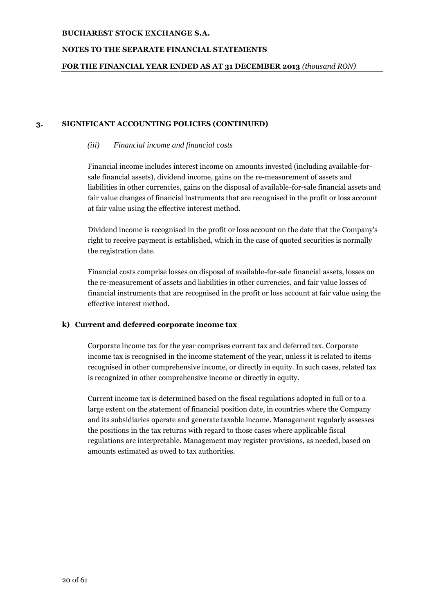## **NOTES TO THE SEPARATE FINANCIAL STATEMENTS**

### **FOR THE FINANCIAL YEAR ENDED AS AT 31 DECEMBER 2013** *(thousand RON)*

### **3. SIGNIFICANT ACCOUNTING POLICIES (CONTINUED)**

#### *(iii) Financial income and financial costs*

Financial income includes interest income on amounts invested (including available-forsale financial assets), dividend income, gains on the re-measurement of assets and liabilities in other currencies, gains on the disposal of available-for-sale financial assets and fair value changes of financial instruments that are recognised in the profit or loss account at fair value using the effective interest method.

Dividend income is recognised in the profit or loss account on the date that the Company's right to receive payment is established, which in the case of quoted securities is normally the registration date.

Financial costs comprise losses on disposal of available-for-sale financial assets, losses on the re-measurement of assets and liabilities in other currencies, and fair value losses of financial instruments that are recognised in the profit or loss account at fair value using the effective interest method.

## **k) Current and deferred corporate income tax**

Corporate income tax for the year comprises current tax and deferred tax. Corporate income tax is recognised in the income statement of the year, unless it is related to items recognised in other comprehensive income, or directly in equity. In such cases, related tax is recognized in other comprehensive income or directly in equity.

Current income tax is determined based on the fiscal regulations adopted in full or to a large extent on the statement of financial position date, in countries where the Company and its subsidiaries operate and generate taxable income. Management regularly assesses the positions in the tax returns with regard to those cases where applicable fiscal regulations are interpretable. Management may register provisions, as needed, based on amounts estimated as owed to tax authorities.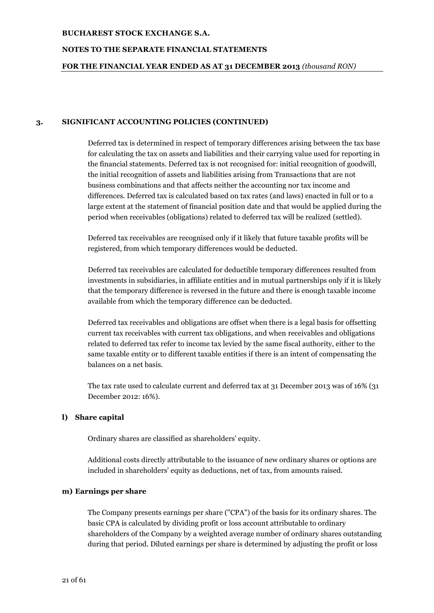#### **NOTES TO THE SEPARATE FINANCIAL STATEMENTS**

#### **FOR THE FINANCIAL YEAR ENDED AS AT 31 DECEMBER 2013** *(thousand RON)*

#### **3. SIGNIFICANT ACCOUNTING POLICIES (CONTINUED)**

Deferred tax is determined in respect of temporary differences arising between the tax base for calculating the tax on assets and liabilities and their carrying value used for reporting in the financial statements. Deferred tax is not recognised for: initial recognition of goodwill, the initial recognition of assets and liabilities arising from Transactions that are not business combinations and that affects neither the accounting nor tax income and differences. Deferred tax is calculated based on tax rates (and laws) enacted in full or to a large extent at the statement of financial position date and that would be applied during the period when receivables (obligations) related to deferred tax will be realized (settled).

Deferred tax receivables are recognised only if it likely that future taxable profits will be registered, from which temporary differences would be deducted.

Deferred tax receivables are calculated for deductible temporary differences resulted from investments in subsidiaries, in affiliate entities and in mutual partnerships only if it is likely that the temporary difference is reversed in the future and there is enough taxable income available from which the temporary difference can be deducted.

Deferred tax receivables and obligations are offset when there is a legal basis for offsetting current tax receivables with current tax obligations, and when receivables and obligations related to deferred tax refer to income tax levied by the same fiscal authority, either to the same taxable entity or to different taxable entities if there is an intent of compensating the balances on a net basis.

The tax rate used to calculate current and deferred tax at 31 December 2013 was of 16% (31 December 2012: 16%).

#### **l) Share capital**

Ordinary shares are classified as shareholders' equity.

Additional costs directly attributable to the issuance of new ordinary shares or options are included in shareholders' equity as deductions, net of tax, from amounts raised.

#### **m) Earnings per share**

The Company presents earnings per share ("CPA") of the basis for its ordinary shares. The basic CPA is calculated by dividing profit or loss account attributable to ordinary shareholders of the Company by a weighted average number of ordinary shares outstanding during that period. Diluted earnings per share is determined by adjusting the profit or loss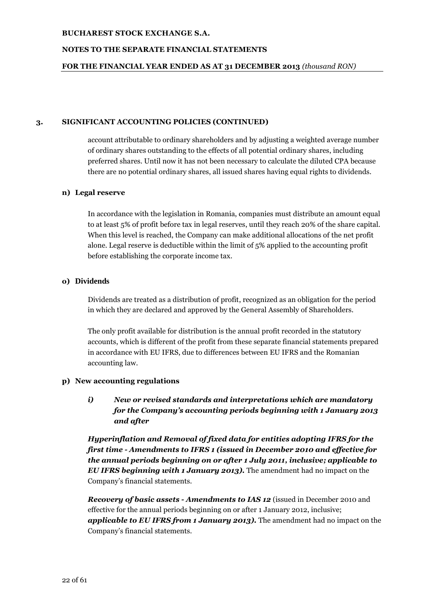### **NOTES TO THE SEPARATE FINANCIAL STATEMENTS**

#### **FOR THE FINANCIAL YEAR ENDED AS AT 31 DECEMBER 2013** *(thousand RON)*

#### **3. SIGNIFICANT ACCOUNTING POLICIES (CONTINUED)**

account attributable to ordinary shareholders and by adjusting a weighted average number of ordinary shares outstanding to the effects of all potential ordinary shares, including preferred shares. Until now it has not been necessary to calculate the diluted CPA because there are no potential ordinary shares, all issued shares having equal rights to dividends.

#### **n) Legal reserve**

In accordance with the legislation in Romania, companies must distribute an amount equal to at least 5% of profit before tax in legal reserves, until they reach 20% of the share capital. When this level is reached, the Company can make additional allocations of the net profit alone. Legal reserve is deductible within the limit of 5% applied to the accounting profit before establishing the corporate income tax.

#### **o) Dividends**

Dividends are treated as a distribution of profit, recognized as an obligation for the period in which they are declared and approved by the General Assembly of Shareholders.

The only profit available for distribution is the annual profit recorded in the statutory accounts, which is different of the profit from these separate financial statements prepared in accordance with EU IFRS, due to differences between EU IFRS and the Romanian accounting law.

## **p) New accounting regulations**

*i) New or revised standards and interpretations which are mandatory for the Company's accounting periods beginning with 1 January 2013 and after*

*Hyperinflation and Removal of fixed data for entities adopting IFRS for the first time - Amendments to IFRS 1 (issued in December 2010 and effective for the annual periods beginning on or after 1 July 2011, inclusive; applicable to EU IFRS beginning with 1 January 2013).* The amendment had no impact on the Company's financial statements.

*Recovery of basic assets - Amendments to IAS 12* (issued in December 2010 and effective for the annual periods beginning on or after 1 January 2012, inclusive; *applicable to EU IFRS from 1 January 2013).* The amendment had no impact on the Company's financial statements.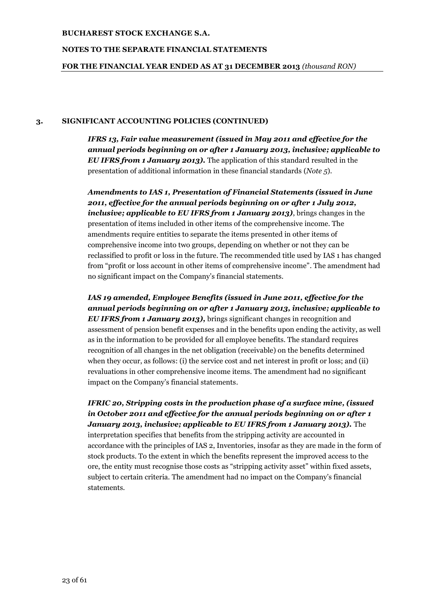### **NOTES TO THE SEPARATE FINANCIAL STATEMENTS**

### **FOR THE FINANCIAL YEAR ENDED AS AT 31 DECEMBER 2013** *(thousand RON)*

## **3. SIGNIFICANT ACCOUNTING POLICIES (CONTINUED)**

*IFRS 13, Fair value measurement (issued in May 2011 and effective for the annual periods beginning on or after 1 January 2013, inclusive; applicable to EU IFRS from 1 January 2013).* The application of this standard resulted in the presentation of additional information in these financial standards (*Note 5*).

*Amendments to IAS 1, Presentation of Financial Statements (issued in June 2011, effective for the annual periods beginning on or after 1 July 2012, inclusive; applicable to EU IFRS from 1 January 2013)*, brings changes in the presentation of items included in other items of the comprehensive income. The amendments require entities to separate the items presented in other items of comprehensive income into two groups, depending on whether or not they can be reclassified to profit or loss in the future. The recommended title used by IAS 1 has changed from "profit or loss account in other items of comprehensive income". The amendment had no significant impact on the Company's financial statements.

*IAS 19 amended, Employee Benefits (issued in June 2011, effective for the annual periods beginning on or after 1 January 2013, inclusive; applicable to EU IFRS from 1 January 2013),* brings significant changes in recognition and assessment of pension benefit expenses and in the benefits upon ending the activity, as well as in the information to be provided for all employee benefits. The standard requires recognition of all changes in the net obligation (receivable) on the benefits determined when they occur, as follows: (i) the service cost and net interest in profit or loss; and (ii) revaluations in other comprehensive income items. The amendment had no significant impact on the Company's financial statements.

# *IFRIC 20, Stripping costs in the production phase of a surface mine, (issued in October 2011 and effective for the annual periods beginning on or after 1 January 2013, inclusive; applicable to EU IFRS from 1 January 2013).* The

interpretation specifies that benefits from the stripping activity are accounted in accordance with the principles of IAS 2, Inventories, insofar as they are made in the form of stock products. To the extent in which the benefits represent the improved access to the ore, the entity must recognise those costs as "stripping activity asset" within fixed assets, subject to certain criteria. The amendment had no impact on the Company's financial statements.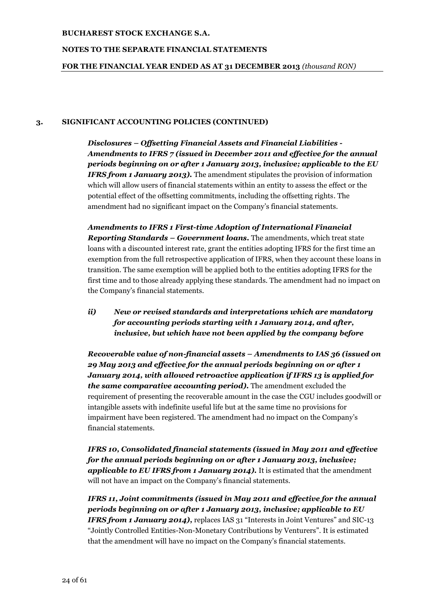### **NOTES TO THE SEPARATE FINANCIAL STATEMENTS**

### **FOR THE FINANCIAL YEAR ENDED AS AT 31 DECEMBER 2013** *(thousand RON)*

#### **3. SIGNIFICANT ACCOUNTING POLICIES (CONTINUED)**

*Disclosures – Offsetting Financial Assets and Financial Liabilities - Amendments to IFRS 7 (issued in December 2011 and effective for the annual periods beginning on or after 1 January 2013, inclusive; applicable to the EU IFRS from 1 January 2013).* The amendment stipulates the provision of information which will allow users of financial statements within an entity to assess the effect or the potential effect of the offsetting commitments, including the offsetting rights. The amendment had no significant impact on the Company's financial statements.

*Amendments to IFRS 1 First-time Adoption of International Financial Reporting Standards – Government loans.* The amendments, which treat state loans with a discounted interest rate, grant the entities adopting IFRS for the first time an exemption from the full retrospective application of IFRS, when they account these loans in transition. The same exemption will be applied both to the entities adopting IFRS for the first time and to those already applying these standards. The amendment had no impact on the Company's financial statements.

# *ii) New or revised standards and interpretations which are mandatory for accounting periods starting with 1 January 2014, and after, inclusive, but which have not been applied by the company before*

*Recoverable value of non-financial assets – Amendments to IAS 36 (issued on 29 May 2013 and effective for the annual periods beginning on or after 1 January 2014, with allowed retroactive application if IFRS 13 is applied for the same comparative accounting period).* The amendment excluded the requirement of presenting the recoverable amount in the case the CGU includes goodwill or intangible assets with indefinite useful life but at the same time no provisions for impairment have been registered. The amendment had no impact on the Company's financial statements.

*IFRS 10, Consolidated financial statements (issued in May 2011 and effective for the annual periods beginning on or after 1 January 2013, inclusive; applicable to EU IFRS from 1 January 2014).* It is estimated that the amendment will not have an impact on the Company's financial statements.

*IFRS 11, Joint commitments (issued in May 2011 and effective for the annual periods beginning on or after 1 January 2013, inclusive; applicable to EU IFRS from 1 January 2014*), replaces IAS 31 "Interests in Joint Ventures" and SIC-13 "Jointly Controlled Entities-Non-Monetary Contributions by Venturers". It is estimated that the amendment will have no impact on the Company's financial statements.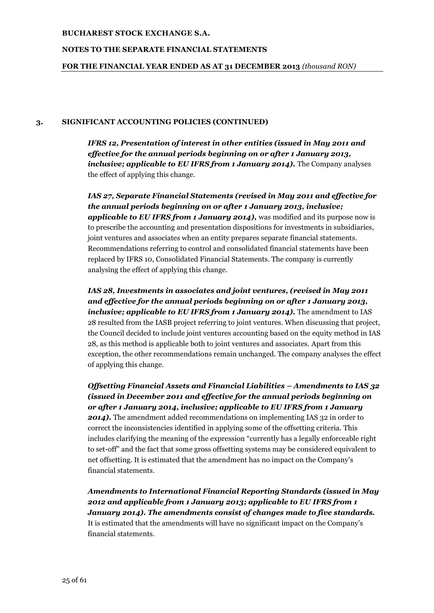### **NOTES TO THE SEPARATE FINANCIAL STATEMENTS**

#### **FOR THE FINANCIAL YEAR ENDED AS AT 31 DECEMBER 2013** *(thousand RON)*

#### **3. SIGNIFICANT ACCOUNTING POLICIES (CONTINUED)**

*IFRS 12, Presentation of interest in other entities (issued in May 2011 and effective for the annual periods beginning on or after 1 January 2013, inclusive; applicable to EU IFRS from 1 January 2014).* The Company analyses the effect of applying this change.

*IAS 27, Separate Financial Statements (revised in May 2011 and effective for the annual periods beginning on or after 1 January 2013, inclusive; applicable to EU IFRS from 1 January 2014),* was modified and its purpose now is to prescribe the accounting and presentation dispositions for investments in subsidiaries, joint ventures and associates when an entity prepares separate financial statements. Recommendations referring to control and consolidated financial statements have been replaced by IFRS 10, Consolidated Financial Statements. The company is currently analysing the effect of applying this change.

*IAS 28, Investments in associates and joint ventures, (revised in May 2011 and effective for the annual periods beginning on or after 1 January 2013, inclusive; applicable to EU IFRS from 1 January 2014)*. The amendment to IAS 28 resulted from the IASB project referring to joint ventures. When discussing that project, the Council decided to include joint ventures accounting based on the equity method in IAS 28, as this method is applicable both to joint ventures and associates. Apart from this exception, the other recommendations remain unchanged. The company analyses the effect of applying this change.

*Offsetting Financial Assets and Financial Liabilities – Amendments to IAS 32 (issued in December 2011 and effective for the annual periods beginning on or after 1 January 2014, inclusive; applicable to EU IFRS from 1 January*  2014). The amendment added recommendations on implementing IAS 32 in order to correct the inconsistencies identified in applying some of the offsetting criteria. This includes clarifying the meaning of the expression "currently has a legally enforceable right to set-off" and the fact that some gross offsetting systems may be considered equivalent to net offsetting. It is estimated that the amendment has no impact on the Company's financial statements.

*Amendments to International Financial Reporting Standards (issued in May 2012 and applicable from 1 January 2013; applicable to EU IFRS from 1 January 2014). The amendments consist of changes made to five standards.* It is estimated that the amendments will have no significant impact on the Company's financial statements.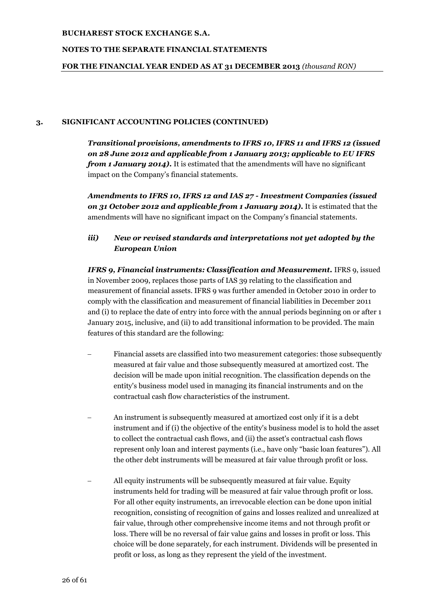### **NOTES TO THE SEPARATE FINANCIAL STATEMENTS**

### **FOR THE FINANCIAL YEAR ENDED AS AT 31 DECEMBER 2013** *(thousand RON)*

#### **3. SIGNIFICANT ACCOUNTING POLICIES (CONTINUED)**

*Transitional provisions, amendments to IFRS 10, IFRS 11 and IFRS 12 (issued on 28 June 2012 and applicable from 1 January 2013; applicable to EU IFRS from 1 January 2014).* It is estimated that the amendments will have no significant impact on the Company's financial statements.

*Amendments to IFRS 10, IFRS 12 and IAS 27 - Investment Companies (issued on 31 October 2012 and applicable from 1 January 2014).* It is estimated that the amendments will have no significant impact on the Company's financial statements.

## *iii) New or revised standards and interpretations not yet adopted by the European Union*

*IFRS 9, Financial instruments: Classification and Measurement.* IFRS 9, issued in November 2009, replaces those parts of IAS 39 relating to the classification and measurement of financial assets. IFRS 9 was further amended in October 2010 in order to comply with the classification and measurement of financial liabilities in December 2011 and (i) to replace the date of entry into force with the annual periods beginning on or after 1 January 2015, inclusive, and (ii) to add transitional information to be provided. The main features of this standard are the following:

- Financial assets are classified into two measurement categories: those subsequently measured at fair value and those subsequently measured at amortized cost. The decision will be made upon initial recognition. The classification depends on the entity's business model used in managing its financial instruments and on the contractual cash flow characteristics of the instrument.
- An instrument is subsequently measured at amortized cost only if it is a debt instrument and if (i) the objective of the entity's business model is to hold the asset to collect the contractual cash flows, and (ii) the asset's contractual cash flows represent only loan and interest payments (i.e., have only "basic loan features"). All the other debt instruments will be measured at fair value through profit or loss.
- All equity instruments will be subsequently measured at fair value. Equity instruments held for trading will be measured at fair value through profit or loss. For all other equity instruments, an irrevocable election can be done upon initial recognition, consisting of recognition of gains and losses realized and unrealized at fair value, through other comprehensive income items and not through profit or loss. There will be no reversal of fair value gains and losses in profit or loss. This choice will be done separately, for each instrument. Dividends will be presented in profit or loss, as long as they represent the yield of the investment.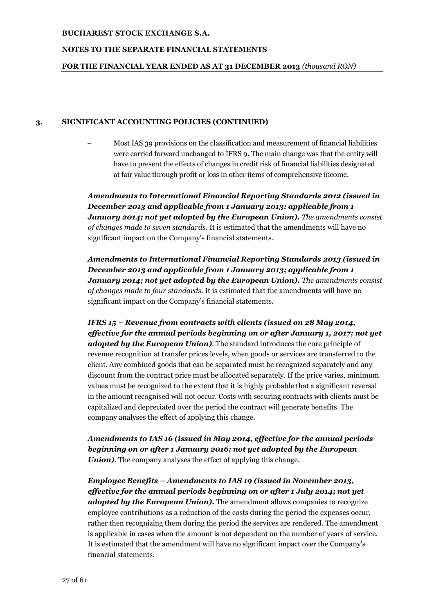### **NOTES TO THE SEPARATE FINANCIAL STATEMENTS**

### **FOR THE FINANCIAL YEAR ENDED AS AT 31 DECEMBER 2013** *(thousand RON)*

#### **3. SIGNIFICANT ACCOUNTING POLICIES (CONTINUED)**

 Most IAS 39 provisions on the classification and measurement of financial liabilities were carried forward unchanged to IFRS 9. The main change was that the entity will have to present the effects of changes in credit risk of financial liabilities designated at fair value through profit or loss in other items of comprehensive income.

*Amendments to International Financial Reporting Standards 2012 (issued in December 2013 and applicable from 1 January 2013; applicable from 1 January 2014; not yet adopted by the European Union). The amendments consist of changes made to seven standards.* It is estimated that the amendments will have no significant impact on the Company's financial statements.

*Amendments to International Financial Reporting Standards 2013 (issued in December 2013 and applicable from 1 January 2013; applicable from 1 January 2014; not yet adopted by the European Union). The amendments consist of changes made to four standards.* It is estimated that the amendments will have no significant impact on the Company's financial statements.

*IFRS 15 – Revenue from contracts with clients (issued on 28 May 2014, effective for the annual periods beginning on or after January 1, 2017; not yet adopted by the European Union)*. The standard introduces the core principle of revenue recognition at transfer prices levels, when goods or services are transferred to the client. Any combined goods that can be separated must be recognized separately and any discount from the contract price must be allocated separately. If the price varies, minimum values must be recognized to the extent that it is highly probable that a significant reversal in the amount recognised will not occur. Costs with securing contracts with clients must be capitalized and depreciated over the period the contract will generate benefits. The company analyses the effect of applying this change.

*Amendments to IAS 16 (issued in May 2014, effective for the annual periods beginning on or after 1 January 2016; not yet adopted by the European Union)*. The company analyses the effect of applying this change.

*Employee Benefits – Amendments to IAS 19 (issued in November 2013, effective for the annual periods beginning on or after 1 July 2014; not yet adopted by the European Union).* The amendment allows companies to recognize employee contributions as a reduction of the costs during the period the expenses occur, rather then recognizing them during the period the services are rendered. The amendment is applicable in cases when the amount is not dependent on the number of years of service. It is estimated that the amendment will have no significant impact over the Company's financial statements.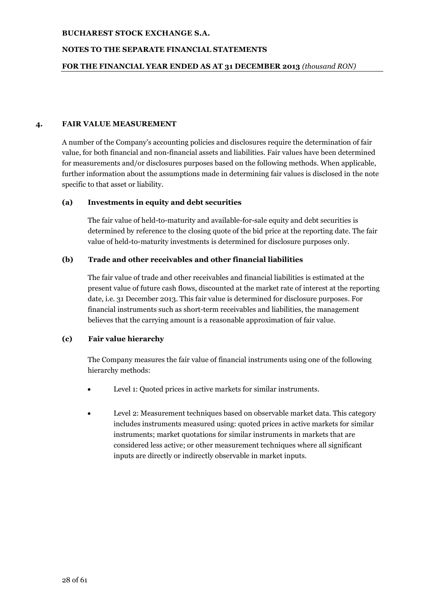### **NOTES TO THE SEPARATE FINANCIAL STATEMENTS**

### **FOR THE FINANCIAL YEAR ENDED AS AT 31 DECEMBER 2013** *(thousand RON)*

### **4. FAIR VALUE MEASUREMENT**

A number of the Company's accounting policies and disclosures require the determination of fair value, for both financial and non-financial assets and liabilities. Fair values have been determined for measurements and/or disclosures purposes based on the following methods. When applicable, further information about the assumptions made in determining fair values is disclosed in the note specific to that asset or liability.

#### **(a) Investments in equity and debt securities**

The fair value of held-to-maturity and available-for-sale equity and debt securities is determined by reference to the closing quote of the bid price at the reporting date. The fair value of held-to-maturity investments is determined for disclosure purposes only.

## **(b) Trade and other receivables and other financial liabilities**

The fair value of trade and other receivables and financial liabilities is estimated at the present value of future cash flows, discounted at the market rate of interest at the reporting date, i.e. 31 December 2013. This fair value is determined for disclosure purposes. For financial instruments such as short-term receivables and liabilities, the management believes that the carrying amount is a reasonable approximation of fair value.

## **(c) Fair value hierarchy**

The Company measures the fair value of financial instruments using one of the following hierarchy methods:

- Level 1: Quoted prices in active markets for similar instruments.
- Level 2: Measurement techniques based on observable market data. This category includes instruments measured using: quoted prices in active markets for similar instruments; market quotations for similar instruments in markets that are considered less active; or other measurement techniques where all significant inputs are directly or indirectly observable in market inputs.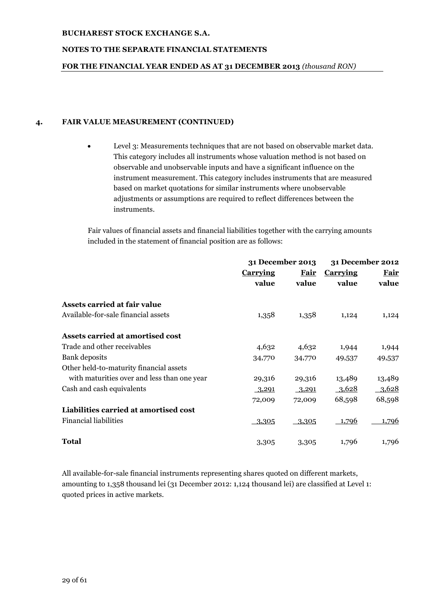## **NOTES TO THE SEPARATE FINANCIAL STATEMENTS**

## **FOR THE FINANCIAL YEAR ENDED AS AT 31 DECEMBER 2013** *(thousand RON)*

## **4. FAIR VALUE MEASUREMENT (CONTINUED)**

 Level 3: Measurements techniques that are not based on observable market data. This category includes all instruments whose valuation method is not based on observable and unobservable inputs and have a significant influence on the instrument measurement. This category includes instruments that are measured based on market quotations for similar instruments where unobservable adjustments or assumptions are required to reflect differences between the instruments.

Fair values of financial assets and financial liabilities together with the carrying amounts included in the statement of financial position are as follows:

|                                             | 31 December 2013        |        | 31 December 2012               |        |
|---------------------------------------------|-------------------------|--------|--------------------------------|--------|
|                                             | <b>Carrying</b><br>Fair |        | <b>Fair</b><br><b>Carrying</b> |        |
|                                             | value                   | value  | value                          | value  |
| Assets carried at fair value                |                         |        |                                |        |
| Available-for-sale financial assets         | 1,358                   | 1,358  | 1,124                          | 1,124  |
| Assets carried at amortised cost            |                         |        |                                |        |
| Trade and other receivables                 | 4,632                   | 4,632  | 1,944                          | 1,944  |
| <b>Bank</b> deposits                        | 34,770                  | 34,770 | 49,537                         | 49,537 |
| Other held-to-maturity financial assets     |                         |        |                                |        |
| with maturities over and less than one year | 29,316                  | 29,316 | 13,489                         | 13,489 |
| Cash and cash equivalents                   | 3,291                   | 3,291  | 3,628                          | 3,628  |
|                                             | 72,009                  | 72,009 | 68,598                         | 68,598 |
| Liabilities carried at amortised cost       |                         |        |                                |        |
| <b>Financial liabilities</b>                | 3,305                   | 3,305  | 1,796                          | 1,796  |
| <b>Total</b>                                | 3,305                   | 3,305  | 1,796                          | 1,796  |

All available-for-sale financial instruments representing shares quoted on different markets, amounting to 1,358 thousand lei (31 December 2012: 1,124 thousand lei) are classified at Level 1: quoted prices in active markets.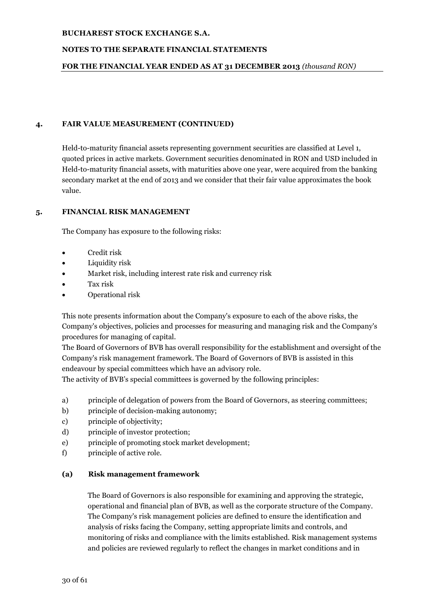## **NOTES TO THE SEPARATE FINANCIAL STATEMENTS**

## **FOR THE FINANCIAL YEAR ENDED AS AT 31 DECEMBER 2013** *(thousand RON)*

## **4. FAIR VALUE MEASUREMENT (CONTINUED)**

Held-to-maturity financial assets representing government securities are classified at Level 1, quoted prices in active markets. Government securities denominated in RON and USD included in Held-to-maturity financial assets, with maturities above one year, were acquired from the banking secondary market at the end of 2013 and we consider that their fair value approximates the book value.

## **5. FINANCIAL RISK MANAGEMENT**

The Company has exposure to the following risks:

- Credit risk
- Liquidity risk
- Market risk, including interest rate risk and currency risk
- Tax risk
- Operational risk

This note presents information about the Company's exposure to each of the above risks, the Company's objectives, policies and processes for measuring and managing risk and the Company's procedures for managing of capital.

The Board of Governors of BVB has overall responsibility for the establishment and oversight of the Company's risk management framework. The Board of Governors of BVB is assisted in this endeavour by special committees which have an advisory role.

The activity of BVB's special committees is governed by the following principles:

- a) principle of delegation of powers from the Board of Governors, as steering committees;
- b) principle of decision-making autonomy;
- c) principle of objectivity;
- d) principle of investor protection;
- e) principle of promoting stock market development;
- f) principle of active role.

## **(a) Risk management framework**

The Board of Governors is also responsible for examining and approving the strategic, operational and financial plan of BVB, as well as the corporate structure of the Company. The Company's risk management policies are defined to ensure the identification and analysis of risks facing the Company, setting appropriate limits and controls, and monitoring of risks and compliance with the limits established. Risk management systems and policies are reviewed regularly to reflect the changes in market conditions and in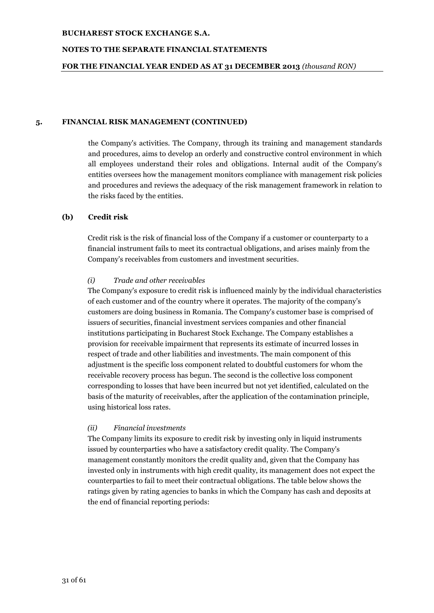### **NOTES TO THE SEPARATE FINANCIAL STATEMENTS**

#### **FOR THE FINANCIAL YEAR ENDED AS AT 31 DECEMBER 2013** *(thousand RON)*

#### **5. FINANCIAL RISK MANAGEMENT (CONTINUED)**

the Company's activities. The Company, through its training and management standards and procedures, aims to develop an orderly and constructive control environment in which all employees understand their roles and obligations. Internal audit of the Company's entities oversees how the management monitors compliance with management risk policies and procedures and reviews the adequacy of the risk management framework in relation to the risks faced by the entities.

## **(b) Credit risk**

Credit risk is the risk of financial loss of the Company if a customer or counterparty to a financial instrument fails to meet its contractual obligations, and arises mainly from the Company's receivables from customers and investment securities.

#### *(i) Trade and other receivables*

The Company's exposure to credit risk is influenced mainly by the individual characteristics of each customer and of the country where it operates. The majority of the company's customers are doing business in Romania. The Company's customer base is comprised of issuers of securities, financial investment services companies and other financial institutions participating in Bucharest Stock Exchange. The Company establishes a provision for receivable impairment that represents its estimate of incurred losses in respect of trade and other liabilities and investments. The main component of this adjustment is the specific loss component related to doubtful customers for whom the receivable recovery process has begun. The second is the collective loss component corresponding to losses that have been incurred but not yet identified, calculated on the basis of the maturity of receivables, after the application of the contamination principle, using historical loss rates.

## *(ii) Financial investments*

The Company limits its exposure to credit risk by investing only in liquid instruments issued by counterparties who have a satisfactory credit quality. The Company's management constantly monitors the credit quality and, given that the Company has invested only in instruments with high credit quality, its management does not expect the counterparties to fail to meet their contractual obligations. The table below shows the ratings given by rating agencies to banks in which the Company has cash and deposits at the end of financial reporting periods: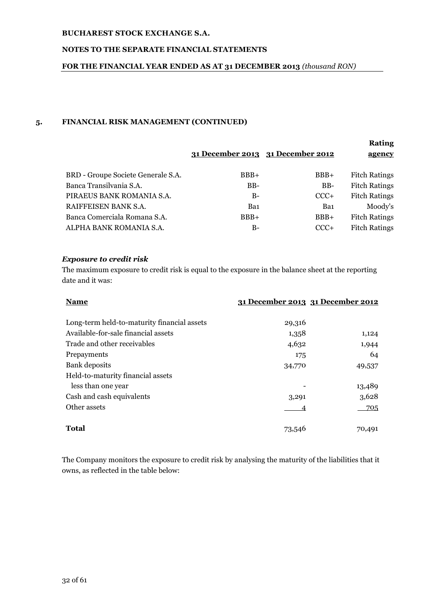## **NOTES TO THE SEPARATE FINANCIAL STATEMENTS**

## **FOR THE FINANCIAL YEAR ENDED AS AT 31 DECEMBER 2013** *(thousand RON)*

## **5. FINANCIAL RISK MANAGEMENT (CONTINUED)**

|                                    | 31 December 2013 31 December 2012 |        | <b>Rating</b><br>agency |
|------------------------------------|-----------------------------------|--------|-------------------------|
| BRD - Groupe Societe Generale S.A. | $BBB+$                            | $BBB+$ | <b>Fitch Ratings</b>    |
| Banca Transilvania S.A.            | BB-                               | $BB-$  | <b>Fitch Ratings</b>    |
| PIRAEUS BANK ROMANIA S.A.          | $B-$                              | $CCC+$ | <b>Fitch Ratings</b>    |
| RAIFFEISEN BANK S.A.               | Ba1                               | Ba1    | Moody's                 |
| Banca Comerciala Romana S.A.       | $BBB+$                            | $BBB+$ | <b>Fitch Ratings</b>    |
| ALPHA BANK ROMANIA S.A.            | B-                                | $CCC+$ | <b>Fitch Ratings</b>    |

## *Exposure to credit risk*

The maximum exposure to credit risk is equal to the exposure in the balance sheet at the reporting date and it was:

| <b>Name</b>                                 |        | 31 December 2013 31 December 2012 |
|---------------------------------------------|--------|-----------------------------------|
|                                             |        |                                   |
| Long-term held-to-maturity financial assets | 29,316 |                                   |
| Available-for-sale financial assets         | 1,358  | 1,124                             |
| Trade and other receivables                 | 4,632  | 1,944                             |
| Prepayments                                 | 175    | 64                                |
| Bank deposits                               | 34,770 | 49,537                            |
| Held-to-maturity financial assets           |        |                                   |
| less than one year                          |        | 13,489                            |
| Cash and cash equivalents                   | 3,291  | 3,628                             |
| Other assets                                |        | 705                               |
|                                             |        |                                   |
| <b>Total</b>                                | 73,546 | 70,491                            |

The Company monitors the exposure to credit risk by analysing the maturity of the liabilities that it owns, as reflected in the table below: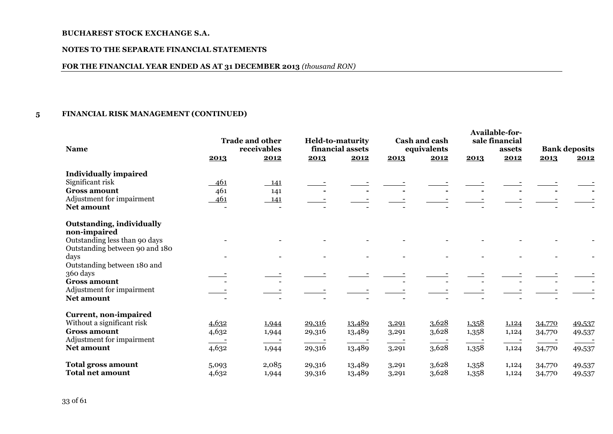#### **NOTES TO THE SEPARATE FINANCIAL STATEMENTS**

## **FOR THE FINANCIAL YEAR ENDED AS AT 31 DECEMBER 2013** *(thousand RON)*

## **5 FINANCIAL RISK MANAGEMENT (CONTINUED)**

| <b>Name</b>                                                     |       | <b>Trade and other</b><br>receivables |        | <b>Held-to-maturity</b><br>financial assets |       | Cash and cash<br>equivalents |       | <b>Available-for-</b><br>sale financial<br>assets |        | <b>Bank deposits</b> |
|-----------------------------------------------------------------|-------|---------------------------------------|--------|---------------------------------------------|-------|------------------------------|-------|---------------------------------------------------|--------|----------------------|
|                                                                 | 2013  | 2012                                  | 2013   | 2012                                        | 2013  | 2012                         | 2013  | 2012                                              | 2013   | 2012                 |
| <b>Individually impaired</b>                                    |       |                                       |        |                                             |       |                              |       |                                                   |        |                      |
| Significant risk                                                | 461   | 141                                   |        |                                             |       |                              |       |                                                   |        |                      |
| <b>Gross amount</b>                                             | 461   | 141                                   |        |                                             |       |                              |       |                                                   |        |                      |
| Adjustment for impairment                                       | 461   | 141                                   |        |                                             |       |                              |       |                                                   |        |                      |
| Net amount                                                      |       | $\overline{\phantom{a}}$              |        |                                             |       |                              |       |                                                   |        |                      |
| <b>Outstanding, individually</b><br>non-impaired                |       |                                       |        |                                             |       |                              |       |                                                   |        |                      |
| Outstanding less than 90 days<br>Outstanding between 90 and 180 |       |                                       |        |                                             |       |                              |       |                                                   |        |                      |
| days<br>Outstanding between 180 and                             |       |                                       |        |                                             |       |                              |       |                                                   |        |                      |
| 360 days                                                        |       |                                       |        |                                             |       |                              |       |                                                   |        |                      |
| <b>Gross amount</b>                                             |       |                                       |        |                                             |       |                              |       |                                                   |        |                      |
| Adjustment for impairment<br><b>Net amount</b>                  |       |                                       |        |                                             |       |                              |       |                                                   |        |                      |
| Current, non-impaired                                           |       |                                       |        |                                             |       |                              |       |                                                   |        |                      |
| Without a significant risk                                      | 4,632 | 1,944                                 | 29,316 | 13,489                                      | 3,291 | 3,628                        | 1,358 | 1,124                                             | 34,770 | 49,537               |
| <b>Gross amount</b>                                             | 4,632 | 1,944                                 | 29,316 | 13,489                                      | 3,291 | 3,628                        | 1,358 | 1,124                                             | 34,770 | 49,537               |
| Adjustment for impairment                                       |       |                                       |        |                                             |       |                              |       |                                                   |        |                      |
| <b>Net amount</b>                                               | 4,632 | 1,944                                 | 29,316 | 13,489                                      | 3,291 | 3,628                        | 1,358 | 1,124                                             | 34,770 | 49,537               |
| <b>Total gross amount</b>                                       | 5,093 | 2,085                                 | 29,316 | 13,489                                      | 3,291 | 3,628                        | 1,358 | 1,124                                             | 34,770 | 49,537               |
| <b>Total net amount</b>                                         | 4,632 | 1,944                                 | 39,316 | 13,489                                      | 3,291 | 3,628                        | 1,358 | 1,124                                             | 34,770 | 49,537               |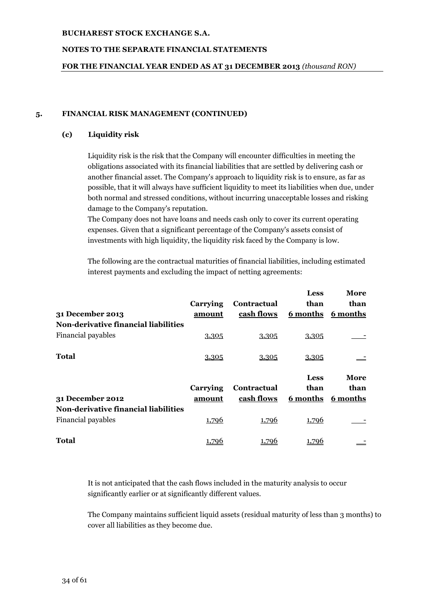## **NOTES TO THE SEPARATE FINANCIAL STATEMENTS**

### **FOR THE FINANCIAL YEAR ENDED AS AT 31 DECEMBER 2013** *(thousand RON)*

### **5. FINANCIAL RISK MANAGEMENT (CONTINUED)**

### **(c) Liquidity risk**

Liquidity risk is the risk that the Company will encounter difficulties in meeting the obligations associated with its financial liabilities that are settled by delivering cash or another financial asset. The Company's approach to liquidity risk is to ensure, as far as possible, that it will always have sufficient liquidity to meet its liabilities when due, under both normal and stressed conditions, without incurring unacceptable losses and risking damage to the Company's reputation.

The Company does not have loans and needs cash only to cover its current operating expenses. Given that a significant percentage of the Company's assets consist of investments with high liquidity, the liquidity risk faced by the Company is low.

The following are the contractual maturities of financial liabilities, including estimated interest payments and excluding the impact of netting agreements:

|                                             |          |             | <b>Less</b> | More     |
|---------------------------------------------|----------|-------------|-------------|----------|
|                                             | Carrying | Contractual | than        | than     |
| 31 December 2013                            | amount   | cash flows  | 6 months    | 6 months |
| <b>Non-derivative financial liabilities</b> |          |             |             |          |
| Financial payables                          | 3,305    | 3,305       | 3,305       |          |
| Total                                       | 3,305    | 3,305       | 3,305       |          |
|                                             |          |             | <b>Less</b> | More     |
|                                             | Carrying | Contractual | than        | than     |
| 31 December 2012                            | amount   | cash flows  | 6 months    | 6 months |
| <b>Non-derivative financial liabilities</b> |          |             |             |          |
| Financial payables                          | 1,796    | 1,796       | 1,796       |          |
|                                             |          |             |             |          |

It is not anticipated that the cash flows included in the maturity analysis to occur significantly earlier or at significantly different values.

The Company maintains sufficient liquid assets (residual maturity of less than 3 months) to cover all liabilities as they become due.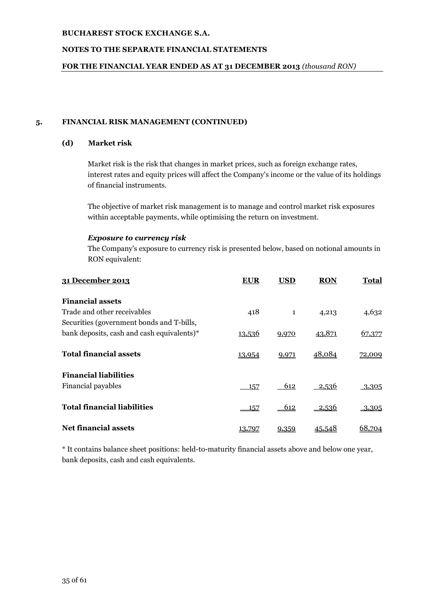## **NOTES TO THE SEPARATE FINANCIAL STATEMENTS**

## **FOR THE FINANCIAL YEAR ENDED AS AT 31 DECEMBER 2013** *(thousand RON)*

## **5. FINANCIAL RISK MANAGEMENT (CONTINUED)**

## **(d) Market risk**

Market risk is the risk that changes in market prices, such as foreign exchange rates, interest rates and equity prices will affect the Company's income or the value of its holdings of financial instruments.

The objective of market risk management is to manage and control market risk exposures within acceptable payments, while optimising the return on investment.

## *Exposure to currency risk*

The Company's exposure to currency risk is presented below, based on notional amounts in RON equivalent:

| 31 December 2013                           | EUR           | <b>USD</b>   | <b>RON</b>    | Total    |
|--------------------------------------------|---------------|--------------|---------------|----------|
| <b>Financial assets</b>                    |               |              |               |          |
| Trade and other receivables                | 418           | $\mathbf{1}$ | 4,213         | 4,632    |
| Securities (government bonds and T-bills,  |               |              |               |          |
| bank deposits, cash and cash equivalents)* | <u>13,536</u> | 9,970        | 43,871        | 67,377   |
| <b>Total financial assets</b>              | 13,954        | 9,971        | 48,084        | 72,009   |
| <b>Financial liabilities</b>               |               |              |               |          |
| Financial payables                         | 157           | 612          | 2,536         | 3,305    |
| <b>Total financial liabilities</b>         | 157           | 612          | 2,536         | $-3,305$ |
| <b>Net financial assets</b>                | 13.797        | 9,359        | <u>45.548</u> | 68,704   |

\* It contains balance sheet positions: held-to-maturity financial assets above and below one year, bank deposits, cash and cash equivalents.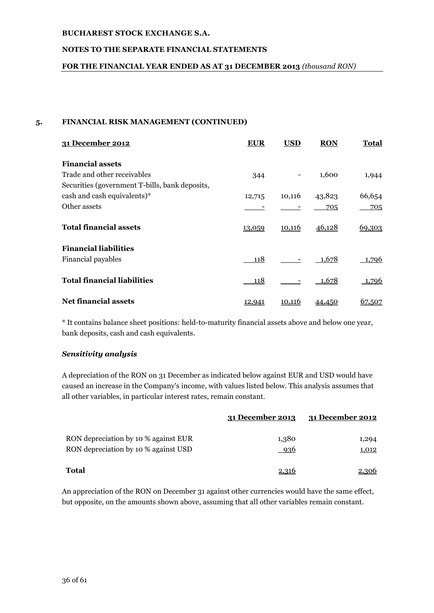## **NOTES TO THE SEPARATE FINANCIAL STATEMENTS**

## **FOR THE FINANCIAL YEAR ENDED AS AT 31 DECEMBER 2013** *(thousand RON)*

## **5. FINANCIAL RISK MANAGEMENT (CONTINUED)**

| 31 December 2012                               | <b>EUR</b> | <b>USD</b>    | <b>RON</b>    | Total  |
|------------------------------------------------|------------|---------------|---------------|--------|
| <b>Financial assets</b>                        |            |               |               |        |
| Trade and other receivables                    | 344        |               | 1,600         | 1,944  |
| Securities (government T-bills, bank deposits, |            |               |               |        |
| cash and cash equivalents)*                    | 12,715     | 10,116        | 43,823        | 66,654 |
| Other assets                                   |            |               | 705           | 705    |
| <b>Total financial assets</b>                  | 13,059     | <u>10,116</u> | <u>46,128</u> | 69,303 |
| <b>Financial liabilities</b>                   |            |               |               |        |
| Financial payables                             | 118        |               | 1,678         | 1,796  |
| <b>Total financial liabilities</b>             | 118        |               | 1,678         | 1,796  |
| <b>Net financial assets</b>                    |            | 10,116        |               | 67.507 |

\* It contains balance sheet positions: held-to-maturity financial assets above and below one year, bank deposits, cash and cash equivalents.

## *Sensitivity analysis*

A depreciation of the RON on 31 December as indicated below against EUR and USD would have caused an increase in the Company's income, with values listed below. This analysis assumes that all other variables, in particular interest rates, remain constant.

|                                                                              | 31 December 2013 | 31 December 2012 |
|------------------------------------------------------------------------------|------------------|------------------|
| RON depreciation by 10 % against EUR<br>RON depreciation by 10 % against USD | 1,380<br>936     | 1,294<br>1,012   |
| Total                                                                        | 2.316            | 2,306            |

An appreciation of the RON on December 31 against other currencies would have the same effect, but opposite, on the amounts shown above, assuming that all other variables remain constant.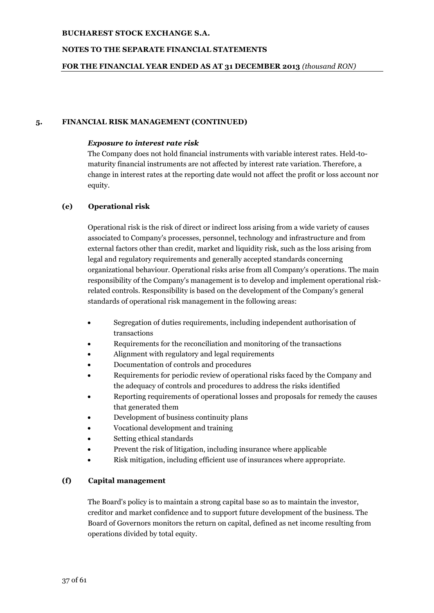## **NOTES TO THE SEPARATE FINANCIAL STATEMENTS**

## **FOR THE FINANCIAL YEAR ENDED AS AT 31 DECEMBER 2013** *(thousand RON)*

## **5. FINANCIAL RISK MANAGEMENT (CONTINUED)**

### *Exposure to interest rate risk*

The Company does not hold financial instruments with variable interest rates. Held-tomaturity financial instruments are not affected by interest rate variation. Therefore, a change in interest rates at the reporting date would not affect the profit or loss account nor equity.

## **(e) Operational risk**

Operational risk is the risk of direct or indirect loss arising from a wide variety of causes associated to Company's processes, personnel, technology and infrastructure and from external factors other than credit, market and liquidity risk, such as the loss arising from legal and regulatory requirements and generally accepted standards concerning organizational behaviour. Operational risks arise from all Company's operations. The main responsibility of the Company's management is to develop and implement operational riskrelated controls. Responsibility is based on the development of the Company's general standards of operational risk management in the following areas:

- Segregation of duties requirements, including independent authorisation of transactions
- Requirements for the reconciliation and monitoring of the transactions
- Alignment with regulatory and legal requirements
- Documentation of controls and procedures
- Requirements for periodic review of operational risks faced by the Company and the adequacy of controls and procedures to address the risks identified
- Reporting requirements of operational losses and proposals for remedy the causes that generated them
- Development of business continuity plans
- Vocational development and training
- Setting ethical standards
- Prevent the risk of litigation, including insurance where applicable
- Risk mitigation, including efficient use of insurances where appropriate.

## **(f) Capital management**

The Board's policy is to maintain a strong capital base so as to maintain the investor, creditor and market confidence and to support future development of the business. The Board of Governors monitors the return on capital, defined as net income resulting from operations divided by total equity.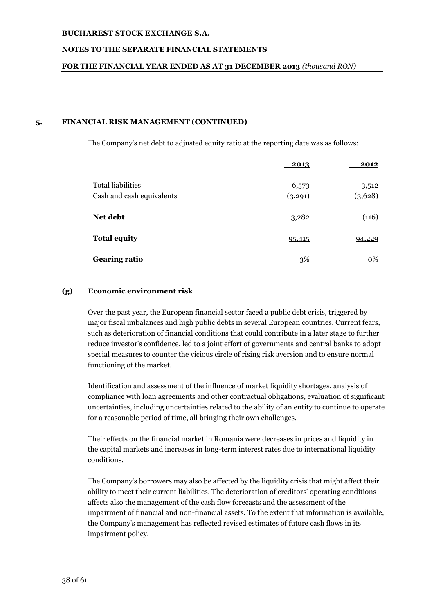## **NOTES TO THE SEPARATE FINANCIAL STATEMENTS**

## **FOR THE FINANCIAL YEAR ENDED AS AT 31 DECEMBER 2013** *(thousand RON)*

## **5. FINANCIAL RISK MANAGEMENT (CONTINUED)**

The Company's net debt to adjusted equity ratio at the reporting date was as follows:

|                                                       | 2013             | 2012             |
|-------------------------------------------------------|------------------|------------------|
| <b>Total liabilities</b><br>Cash and cash equivalents | 6,573<br>(3,291) | 3,512<br>(3,628) |
| Net debt                                              | <u>3,282</u>     | (116)            |
| <b>Total equity</b>                                   | 95,415           | 94,229           |
| <b>Gearing ratio</b>                                  | 3%               | 0%               |

## **(g) Economic environment risk**

Over the past year, the European financial sector faced a public debt crisis, triggered by major fiscal imbalances and high public debts in several European countries. Current fears, such as deterioration of financial conditions that could contribute in a later stage to further reduce investor's confidence, led to a joint effort of governments and central banks to adopt special measures to counter the vicious circle of rising risk aversion and to ensure normal functioning of the market.

Identification and assessment of the influence of market liquidity shortages, analysis of compliance with loan agreements and other contractual obligations, evaluation of significant uncertainties, including uncertainties related to the ability of an entity to continue to operate for a reasonable period of time, all bringing their own challenges.

Their effects on the financial market in Romania were decreases in prices and liquidity in the capital markets and increases in long-term interest rates due to international liquidity conditions.

The Company's borrowers may also be affected by the liquidity crisis that might affect their ability to meet their current liabilities. The deterioration of creditors' operating conditions affects also the management of the cash flow forecasts and the assessment of the impairment of financial and non-financial assets. To the extent that information is available, the Company's management has reflected revised estimates of future cash flows in its impairment policy.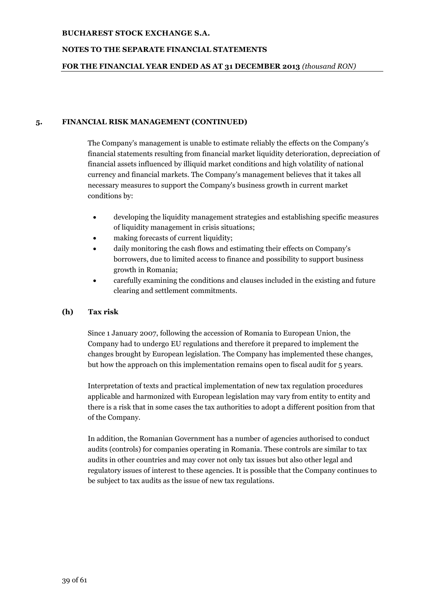## **NOTES TO THE SEPARATE FINANCIAL STATEMENTS**

### **FOR THE FINANCIAL YEAR ENDED AS AT 31 DECEMBER 2013** *(thousand RON)*

### **5. FINANCIAL RISK MANAGEMENT (CONTINUED)**

The Company's management is unable to estimate reliably the effects on the Company's financial statements resulting from financial market liquidity deterioration, depreciation of financial assets influenced by illiquid market conditions and high volatility of national currency and financial markets. The Company's management believes that it takes all necessary measures to support the Company's business growth in current market conditions by:

- developing the liquidity management strategies and establishing specific measures of liquidity management in crisis situations;
- making forecasts of current liquidity;
- daily monitoring the cash flows and estimating their effects on Company's borrowers, due to limited access to finance and possibility to support business growth in Romania;
- carefully examining the conditions and clauses included in the existing and future clearing and settlement commitments.

## **(h) Tax risk**

Since 1 January 2007, following the accession of Romania to European Union, the Company had to undergo EU regulations and therefore it prepared to implement the changes brought by European legislation. The Company has implemented these changes, but how the approach on this implementation remains open to fiscal audit for 5 years.

Interpretation of texts and practical implementation of new tax regulation procedures applicable and harmonized with European legislation may vary from entity to entity and there is a risk that in some cases the tax authorities to adopt a different position from that of the Company.

In addition, the Romanian Government has a number of agencies authorised to conduct audits (controls) for companies operating in Romania. These controls are similar to tax audits in other countries and may cover not only tax issues but also other legal and regulatory issues of interest to these agencies. It is possible that the Company continues to be subject to tax audits as the issue of new tax regulations.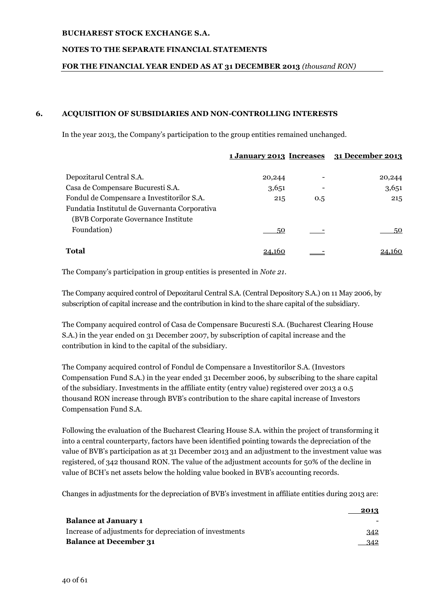## **NOTES TO THE SEPARATE FINANCIAL STATEMENTS**

## **FOR THE FINANCIAL YEAR ENDED AS AT 31 DECEMBER 2013** *(thousand RON)*

## **6. ACQUISITION OF SUBSIDIARIES AND NON-CONTROLLING INTERESTS**

In the year 2013, the Company's participation to the group entities remained unchanged.

|                                                                                      | <u>1 January 2013 Increases</u> |     | <u>31 December 2013</u> |
|--------------------------------------------------------------------------------------|---------------------------------|-----|-------------------------|
| Depozitarul Central S.A.                                                             | 20,244                          |     | 20,244                  |
| Casa de Compensare Bucuresti S.A.                                                    | 3,651                           |     | 3,651                   |
| Fondul de Compensare a Investitorilor S.A.                                           | 215                             | 0.5 | 215                     |
| Fundatia Institutul de Guvernanta Corporativa<br>(BVB Corporate Governance Institute |                                 |     |                         |
| Foundation)                                                                          | 50                              |     | 50                      |
| <b>Total</b>                                                                         | 24.160                          |     |                         |

The Company's participation in group entities is presented in *Note 21*.

The Company acquired control of Depozitarul Central S.A. (Central Depository S.A.) on 11 May 2006, by subscription of capital increase and the contribution in kind to the share capital of the subsidiary.

The Company acquired control of Casa de Compensare Bucuresti S.A. (Bucharest Clearing House S.A.) in the year ended on 31 December 2007, by subscription of capital increase and the contribution in kind to the capital of the subsidiary.

The Company acquired control of Fondul de Compensare a Investitorilor S.A. (Investors Compensation Fund S.A.) in the year ended 31 December 2006, by subscribing to the share capital of the subsidiary. Investments in the affiliate entity (entry value) registered over 2013 a 0.5 thousand RON increase through BVB's contribution to the share capital increase of Investors Compensation Fund S.A.

Following the evaluation of the Bucharest Clearing House S.A. within the project of transforming it into a central counterparty, factors have been identified pointing towards the depreciation of the value of BVB's participation as at 31 December 2013 and an adjustment to the investment value was registered, of 342 thousand RON. The value of the adjustment accounts for 50% of the decline in value of BCH's net assets below the holding value booked in BVB's accounting records.

Changes in adjustments for the depreciation of BVB's investment in affiliate entities during 2013 are:

|                                                         | 2013 |
|---------------------------------------------------------|------|
| <b>Balance at January 1</b>                             |      |
| Increase of adjustments for depreciation of investments | 342  |
| <b>Balance at December 31</b>                           | 342  |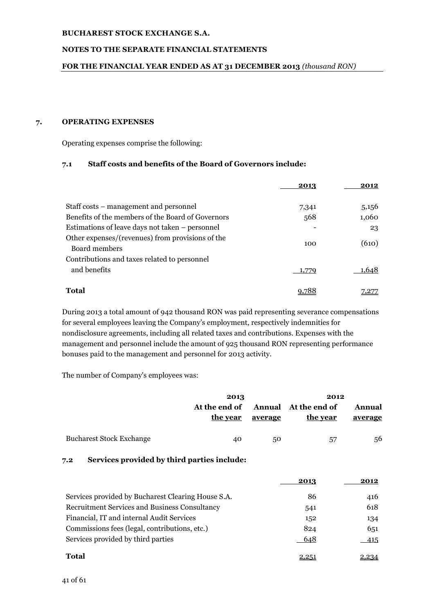## **NOTES TO THE SEPARATE FINANCIAL STATEMENTS**

#### **FOR THE FINANCIAL YEAR ENDED AS AT 31 DECEMBER 2013** *(thousand RON)*

#### **7. OPERATING EXPENSES**

Operating expenses comprise the following:

## **7.1 Staff costs and benefits of the Board of Governors include:**

|                                                                   | 2013  | 2012  |
|-------------------------------------------------------------------|-------|-------|
| Staff costs – management and personnel                            | 7,341 | 5,156 |
| Benefits of the members of the Board of Governors                 | 568   | 1,060 |
| Estimations of leave days not taken – personnel                   |       | 23    |
| Other expenses/(revenues) from provisions of the<br>Board members | 100   | (610) |
| Contributions and taxes related to personnel                      |       |       |
| and benefits                                                      |       | .648  |
| <b>Total</b>                                                      |       |       |

During 2013 a total amount of 942 thousand RON was paid representing severance compensations for several employees leaving the Company's employment, respectively indemnities for nondisclosure agreements, including all related taxes and contributions. Expenses with the management and personnel include the amount of 925 thousand RON representing performance bonuses paid to the management and personnel for 2013 activity.

The number of Company's employees was:

|                                 | 2013          |         | 2012                 |         |  |
|---------------------------------|---------------|---------|----------------------|---------|--|
|                                 | At the end of |         | Annual At the end of | Annual  |  |
|                                 | the year      | average | the year             | average |  |
| <b>Bucharest Stock Exchange</b> | 40            | 50      | 57                   | 56      |  |

## **7.2 Services provided by third parties include:**

|                                                      | 2013 | 2012 |
|------------------------------------------------------|------|------|
| Services provided by Bucharest Clearing House S.A.   | 86   | 416  |
| <b>Recruitment Services and Business Consultancy</b> | 541  | 618  |
| Financial, IT and internal Audit Services            | 152  | 134  |
| Commissions fees (legal, contributions, etc.)        | 824  | 651  |
| Services provided by third parties                   | 648  | 415  |
| <b>Total</b>                                         |      |      |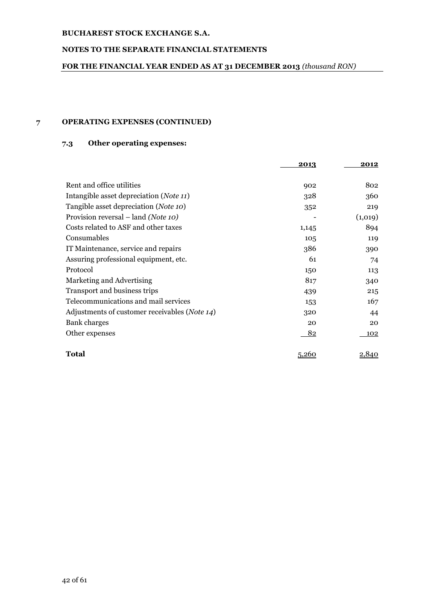## **NOTES TO THE SEPARATE FINANCIAL STATEMENTS**

## **FOR THE FINANCIAL YEAR ENDED AS AT 31 DECEMBER 2013** *(thousand RON)*

## **7 OPERATING EXPENSES (CONTINUED)**

# **7.3 Other operating expenses:**

|                                                        | 2013  | 2012    |
|--------------------------------------------------------|-------|---------|
|                                                        |       |         |
| Rent and office utilities                              | 902   | 802     |
| Intangible asset depreciation ( <i>Note 11</i> )       | 328   | 360     |
| Tangible asset depreciation (Note 10)                  | 352   | 219     |
| Provision reversal – land (Note 10)                    |       | (1,019) |
| Costs related to ASF and other taxes                   | 1,145 | 894     |
| Consumables                                            | 105   | 119     |
| IT Maintenance, service and repairs                    | 386   | 390     |
| Assuring professional equipment, etc.                  | 61    | 74      |
| Protocol                                               | 150   | 113     |
| Marketing and Advertising                              | 817   | 340     |
| Transport and business trips                           | 439   | 215     |
| Telecommunications and mail services                   | 153   | 167     |
| Adjustments of customer receivables ( <i>Note 14</i> ) | 320   | 44      |
| Bank charges                                           | 20    | 20      |
| Other expenses                                         | 82    | 102     |
|                                                        |       |         |
| Total                                                  | 5,260 | 2,840   |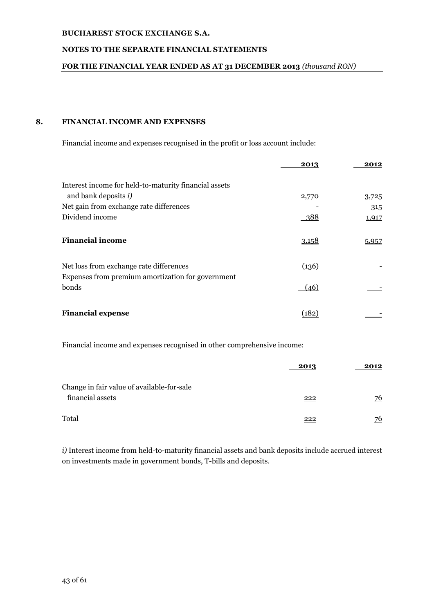## **NOTES TO THE SEPARATE FINANCIAL STATEMENTS**

## **FOR THE FINANCIAL YEAR ENDED AS AT 31 DECEMBER 2013** *(thousand RON)*

## **8. FINANCIAL INCOME AND EXPENSES**

Financial income and expenses recognised in the profit or loss account include:

|                                                                                              | 2013  | 2012  |
|----------------------------------------------------------------------------------------------|-------|-------|
| Interest income for held-to-maturity financial assets                                        |       |       |
| and bank deposits i)                                                                         | 2,770 | 3,725 |
| Net gain from exchange rate differences                                                      |       | 315   |
| Dividend income                                                                              | 388   | 1,917 |
| <b>Financial income</b>                                                                      | 3,158 | 5,957 |
| Net loss from exchange rate differences<br>Expenses from premium amortization for government | (136) |       |
| bonds                                                                                        | (46)  |       |
| <b>Financial expense</b>                                                                     | (182  |       |

Financial income and expenses recognised in other comprehensive income:

|                                            | 2013 | 2012 |
|--------------------------------------------|------|------|
| Change in fair value of available-for-sale |      |      |
| financial assets                           | 222  | 76   |
| Total                                      | 222  | 76   |

*i)* Interest income from held-to-maturity financial assets and bank deposits include accrued interest on investments made in government bonds, T-bills and deposits.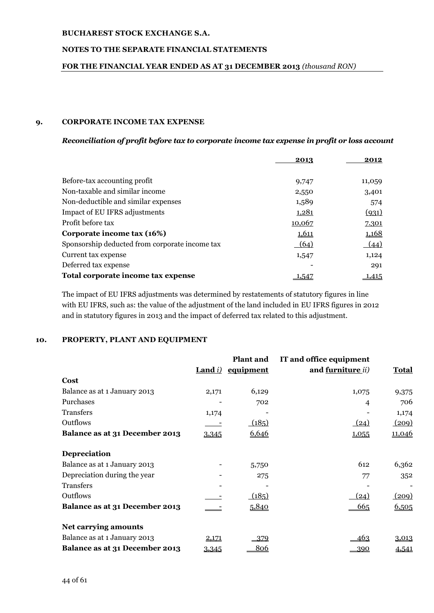## **NOTES TO THE SEPARATE FINANCIAL STATEMENTS**

## **FOR THE FINANCIAL YEAR ENDED AS AT 31 DECEMBER 2013** *(thousand RON)*

## **9. CORPORATE INCOME TAX EXPENSE**

#### *Reconciliation of profit before tax to corporate income tax expense in profit or loss account*

|                                                | 2013         | 2012   |
|------------------------------------------------|--------------|--------|
|                                                |              |        |
| Before-tax accounting profit                   | 9,747        | 11,059 |
| Non-taxable and similar income                 | 2,550        | 3,401  |
| Non-deductible and similar expenses            | 1,589        | 574    |
| Impact of EU IFRS adjustments                  | <u>1,281</u> | (931)  |
| Profit before tax                              | 10,067       | 7.301  |
| Corporate income tax (16%)                     | 1,611        | 1,168  |
| Sponsorship deducted from corporate income tax | (64)         | (44)   |
| Current tax expense                            | 1,547        | 1,124  |
| Deferred tax expense                           |              | 291    |
| Total corporate income tax expense             | 1,547        | 1,415  |

The impact of EU IFRS adjustments was determined by restatements of statutory figures in line with EU IFRS, such as: the value of the adjustment of the land included in EU IFRS figures in 2012 and in statutory figures in 2013 and the impact of deferred tax related to this adjustment.

## **10. PROPERTY, PLANT AND EQUIPMENT**

|                                |                        | <b>Plant and</b> | IT and office equipment          |               |
|--------------------------------|------------------------|------------------|----------------------------------|---------------|
|                                | <b>Land</b> <i>i</i> ) | equipment        | and <u>furniture</u> <i>ii</i> ) | <b>Total</b>  |
| Cost                           |                        |                  |                                  |               |
| Balance as at 1 January 2013   | 2,171                  | 6,129            | 1,075                            | 9,375         |
| Purchases                      |                        | 702              | 4                                | 706           |
| <b>Transfers</b>               | 1,174                  |                  |                                  | 1,174         |
| Outflows                       |                        | (185)            | (24)                             | (209)         |
| Balance as at 31 December 2013 | 3,345                  | 6,646            | 1,055                            | <u>11,046</u> |
| Depreciation                   |                        |                  |                                  |               |
| Balance as at 1 January 2013   |                        | 5,750            | 612                              | 6,362         |
| Depreciation during the year   |                        | 275              | 77                               | 352           |
| <b>Transfers</b>               |                        |                  |                                  |               |
| Outflows                       |                        | (185)            | (24)                             | (209)         |
| Balance as at 31 December 2013 |                        | 5,840            | 665                              | 6,505         |
| <b>Net carrying amounts</b>    |                        |                  |                                  |               |
| Balance as at 1 January 2013   | 2,171                  | -379             | 463                              | 3,013         |
| Balance as at 31 December 2013 | 3,345                  | <u>806</u>       | 390                              | 4,541         |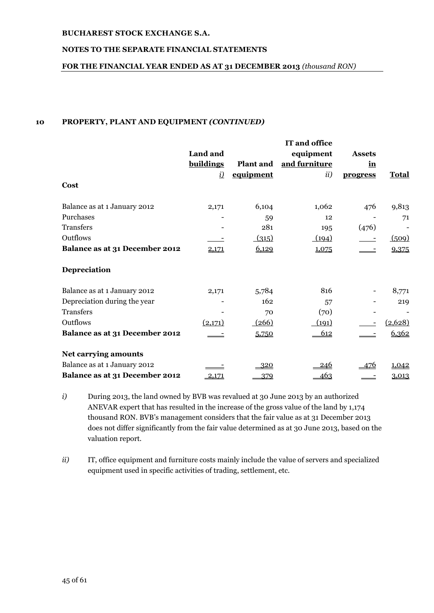## **NOTES TO THE SEPARATE FINANCIAL STATEMENTS**

## **FOR THE FINANCIAL YEAR ENDED AS AT 31 DECEMBER 2013** *(thousand RON)*

## **10 PROPERTY, PLANT AND EQUIPMENT** *(CONTINUED)*

|                                |                  |                  | IT and office |               |              |
|--------------------------------|------------------|------------------|---------------|---------------|--------------|
|                                | Land and         |                  | equipment     | <b>Assets</b> |              |
|                                | <b>buildings</b> | <b>Plant and</b> | and furniture | in            |              |
|                                | $\dot{v}$        | equipment        | ii)           | progress      | <b>Total</b> |
| Cost                           |                  |                  |               |               |              |
| Balance as at 1 January 2012   | 2,171            | 6,104            | 1,062         | 476           | 9,813        |
| Purchases                      |                  | 59               | 12            |               | 71           |
| Transfers                      |                  | 281              | 195           | (476)         |              |
| Outflows                       |                  | (315)            | (194)         |               | (509)        |
| Balance as at 31 December 2012 | 2,171            | 6,129            | 1,075         |               | 9,375        |
| Depreciation                   |                  |                  |               |               |              |
| Balance as at 1 January 2012   | 2,171            | 5,784            | 816           |               | 8,771        |
| Depreciation during the year   |                  | 162              | 57            |               | 219          |
| <b>Transfers</b>               |                  | 70               | (70)          |               |              |
| Outflows                       | (2,171)          | (266)            | (191)         |               | (2,628)      |
| Balance as at 31 December 2012 |                  | 5,750            | 612           |               | 6,362        |
| <b>Net carrying amounts</b>    |                  |                  |               |               |              |
| Balance as at 1 January 2012   |                  | <u>320</u>       | <u>246</u>    | 476           | 1,042        |
| Balance as at 31 December 2012 | 2,171            | 379              | 463           |               | 3,013        |

- *i)* During 2013, the land owned by BVB was revalued at 30 June 2013 by an authorized ANEVAR expert that has resulted in the increase of the gross value of the land by 1,174 thousand RON. BVB's management considers that the fair value as at 31 December 2013 does not differ significantly from the fair value determined as at 30 June 2013, based on the valuation report.
- *ii)* IT, office equipment and furniture costs mainly include the value of servers and specialized equipment used in specific activities of trading, settlement, etc.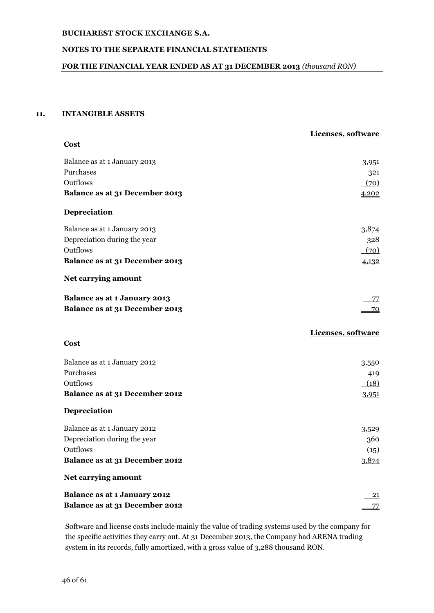## **NOTES TO THE SEPARATE FINANCIAL STATEMENTS**

## **FOR THE FINANCIAL YEAR ENDED AS AT 31 DECEMBER 2013** *(thousand RON)*

## **11. INTANGIBLE ASSETS**

|                                     | Licenses, software |
|-------------------------------------|--------------------|
| Cost                                |                    |
| Balance as at 1 January 2013        | 3,951              |
| Purchases                           | 321                |
| Outflows                            | (70)               |
| Balance as at 31 December 2013      | 4,202              |
| Depreciation                        |                    |
| Balance as at 1 January 2013        | 3,874              |
| Depreciation during the year        | 328                |
| Outflows                            | (70)               |
| Balance as at 31 December 2013      | 4,132              |
| Net carrying amount                 |                    |
| Balance as at 1 January 2013        | 77                 |
| Balance as at 31 December 2013      | 70                 |
|                                     | Licenses, software |
| Cost                                |                    |
| Balance as at 1 January 2012        | 3,550              |
| Purchases                           | 419                |
| Outflows                            | (18)               |
| Balance as at 31 December 2012      | 3,951              |
| Depreciation                        |                    |
| Balance as at 1 January 2012        | 3,529              |
| Depreciation during the year        | 360                |
| Outflows                            | (15)               |
| Balance as at 31 December 2012      | 3,874              |
| Net carrying amount                 |                    |
| <b>Balance as at 1 January 2012</b> | $\overline{21}$    |
| Balance as at 31 December 2012      | 77                 |

Software and license costs include mainly the value of trading systems used by the company for the specific activities they carry out. At 31 December 2013, the Company had ARENA trading system in its records, fully amortized, with a gross value of 3,288 thousand RON.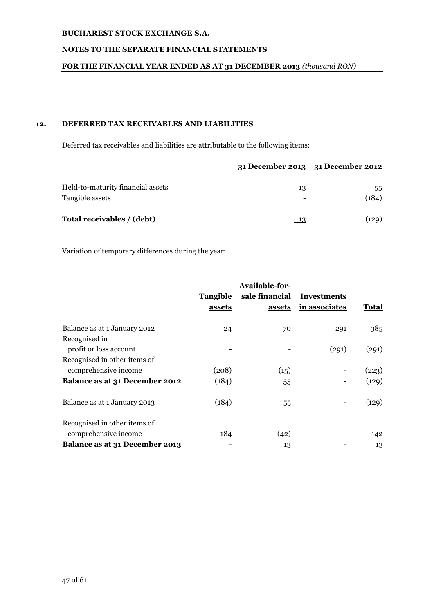## **NOTES TO THE SEPARATE FINANCIAL STATEMENTS**

## **FOR THE FINANCIAL YEAR ENDED AS AT 31 DECEMBER 2013** *(thousand RON)*

# **12. DEFERRED TAX RECEIVABLES AND LIABILITIES**

Deferred tax receivables and liabilities are attributable to the following items:

|                                                      | 31 December 2013 31 December 2012 |             |
|------------------------------------------------------|-----------------------------------|-------------|
| Held-to-maturity financial assets<br>Tangible assets | 13                                | 55<br>(184) |
| Total receivables / (debt)                           | - 13                              | (129)       |

Variation of temporary differences during the year:

|                                                        | Tangible<br>assets | Available-for-<br>sale financial<br>assets | <b>Investments</b><br>in associates | Total       |
|--------------------------------------------------------|--------------------|--------------------------------------------|-------------------------------------|-------------|
| Balance as at 1 January 2012<br>Recognised in          | 24                 | 70                                         | 291                                 | 385         |
| profit or loss account                                 |                    |                                            | (291)                               | (291)       |
| Recognised in other items of<br>comprehensive income   | (208)              | (15)                                       |                                     | (223)       |
| Balance as at 31 December 2012                         | (184)              | 55                                         |                                     | (129)       |
| Balance as at 1 January 2013                           | (184)              | 55                                         |                                     | (129)       |
| Recognised in other items of                           |                    |                                            |                                     |             |
| comprehensive income<br>Balance as at 31 December 2013 | <u> 184</u>        | (42)<br>13                                 |                                     | - 142<br>13 |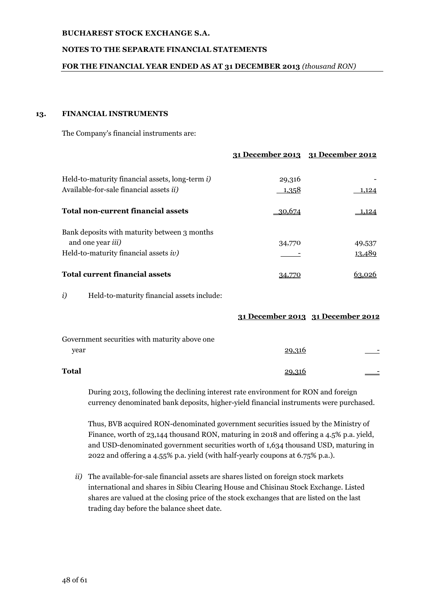### **NOTES TO THE SEPARATE FINANCIAL STATEMENTS**

#### **FOR THE FINANCIAL YEAR ENDED AS AT 31 DECEMBER 2013** *(thousand RON)*

#### **13. FINANCIAL INSTRUMENTS**

The Company's financial instruments are:

|                                                                                                                    | $1.1$ December $201.3$ | $\mathbf{A}$     |
|--------------------------------------------------------------------------------------------------------------------|------------------------|------------------|
| Held-to-maturity financial assets, long-term i)<br>Available-for-sale financial assets <i>ii</i> )                 | 29,316<br>1,358        | 1,124            |
| <b>Total non-current financial assets</b>                                                                          | 30,674                 | 1.124            |
| Bank deposits with maturity between 3 months<br>and one year <i>iii</i> )<br>Held-to-maturity financial assets iv) | 34,770                 | 49,537<br>13,489 |
| <b>Total current financial assets</b>                                                                              |                        |                  |

**31 December 2013 31 December 2012**

*i*) Held-to-maturity financial assets include:

|                                               |        | 31 December 2013 31 December 2012 |
|-----------------------------------------------|--------|-----------------------------------|
| Government securities with maturity above one |        |                                   |
| year                                          | 29,316 |                                   |
| Total                                         |        |                                   |

During 2013, following the declining interest rate environment for RON and foreign currency denominated bank deposits, higher-yield financial instruments were purchased.

Thus, BVB acquired RON-denominated government securities issued by the Ministry of Finance, worth of 23,144 thousand RON, maturing in 2018 and offering a 4.5% p.a. yield, and USD-denominated government securities worth of 1,634 thousand USD, maturing in 2022 and offering a 4.55% p.a. yield (with half-yearly coupons at 6.75% p.a.).

*ii)* The available-for-sale financial assets are shares listed on foreign stock markets international and shares in Sibiu Clearing House and Chisinau Stock Exchange. Listed shares are valued at the closing price of the stock exchanges that are listed on the last trading day before the balance sheet date.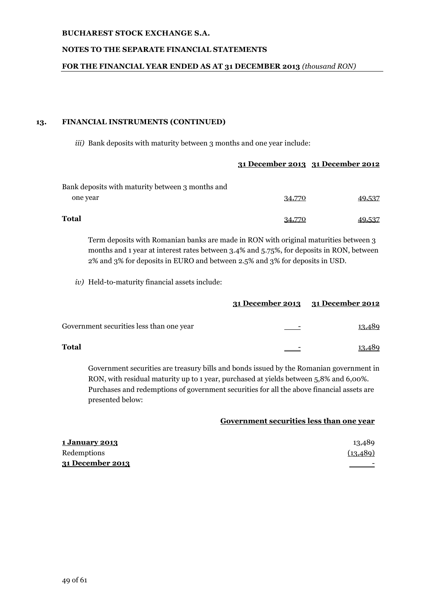## **NOTES TO THE SEPARATE FINANCIAL STATEMENTS**

#### **FOR THE FINANCIAL YEAR ENDED AS AT 31 DECEMBER 2013** *(thousand RON)*

#### **13. FINANCIAL INSTRUMENTS (CONTINUED)**

*iii*) Bank deposits with maturity between 3 months and one year include:

## **31 December 2013 31 December 2012**

| Bank deposits with maturity between 3 months and |        |        |
|--------------------------------------------------|--------|--------|
| one year                                         | 34,770 | 49,537 |
| Total                                            | 34.770 | 40.537 |

Term deposits with Romanian banks are made in RON with original maturities between 3 months and 1 year at interest rates between 3.4% and 5.75%, for deposits in RON, between 2% and 3% for deposits in EURO and between 2.5% and 3% for deposits in USD.

*iv)* Held-to-maturity financial assets include:

|                                          | 31 December 2013 31 December 2012 |        |
|------------------------------------------|-----------------------------------|--------|
| Government securities less than one year |                                   | 13,489 |
| Total                                    |                                   | 489    |

Government securities are treasury bills and bonds issued by the Romanian government in RON, with residual maturity up to 1 year, purchased at yields between 5,8% and 6,00%. Purchases and redemptions of government securities for all the above financial assets are presented below:

## **Government securities less than one year**

| <u>1 January 2013</u> | 13,489    |
|-----------------------|-----------|
| Redemptions           | (13, 489) |
| 31 December 2013      |           |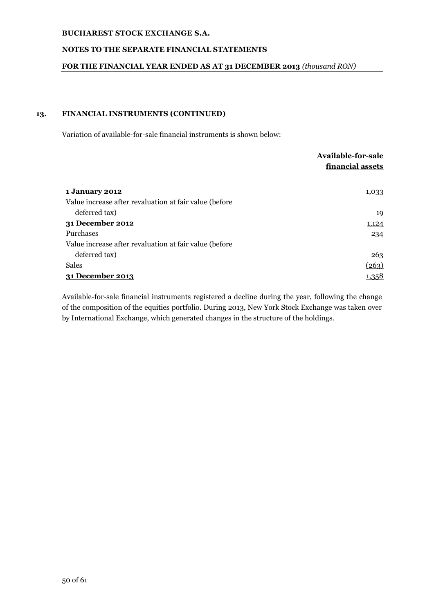## **NOTES TO THE SEPARATE FINANCIAL STATEMENTS**

## **FOR THE FINANCIAL YEAR ENDED AS AT 31 DECEMBER 2013** *(thousand RON)*

## **13. FINANCIAL INSTRUMENTS (CONTINUED)**

Variation of available-for-sale financial instruments is shown below:

|                                                        | <b>Available-for-sale</b> |
|--------------------------------------------------------|---------------------------|
|                                                        | financial assets          |
|                                                        |                           |
| 1 January 2012                                         | 1,033                     |
| Value increase after revaluation at fair value (before |                           |
| deferred tax)                                          | <u>19</u>                 |
| 31 December 2012                                       | 1,124                     |
| Purchases                                              | 234                       |
| Value increase after revaluation at fair value (before |                           |
| deferred tax)                                          | 263                       |
| <b>Sales</b>                                           | (263)                     |
| 31 December 2013                                       | <u>1,358</u>              |

Available-for-sale financial instruments registered a decline during the year, following the change of the composition of the equities portfolio. During 2013, New York Stock Exchange was taken over by International Exchange, which generated changes in the structure of the holdings.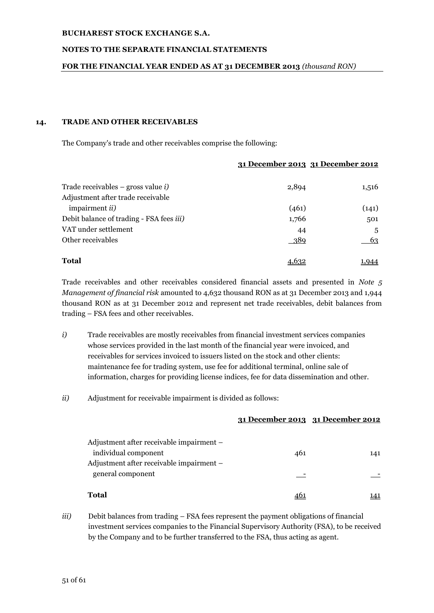### **NOTES TO THE SEPARATE FINANCIAL STATEMENTS**

#### **FOR THE FINANCIAL YEAR ENDED AS AT 31 DECEMBER 2013** *(thousand RON)*

#### **14. TRADE AND OTHER RECEIVABLES**

The Company's trade and other receivables comprise the following:

| (141)<br>501<br>.5<br>63 |
|--------------------------|
|                          |
|                          |
|                          |
|                          |
|                          |
| 1,516                    |
|                          |

**31 December 2013 31 December 2012**

Trade receivables and other receivables considered financial assets and presented in *Note 5 Management of financial risk* amounted to 4,632 thousand RON as at 31 December 2013 and 1,944 thousand RON as at 31 December 2012 and represent net trade receivables, debit balances from trading – FSA fees and other receivables.

- *i*) Trade receivables are mostly receivables from financial investment services companies whose services provided in the last month of the financial year were invoiced, and receivables for services invoiced to issuers listed on the stock and other clients: maintenance fee for trading system, use fee for additional terminal, online sale of information, charges for providing license indices, fee for data dissemination and other.
- *ii)* Adjustment for receivable impairment is divided as follows:

|                                                                                                              |     | 31 December 2013 31 December 2012 |
|--------------------------------------------------------------------------------------------------------------|-----|-----------------------------------|
| Adjustment after receivable impairment -<br>individual component<br>Adjustment after receivable impairment - | 461 | 141                               |
| general component                                                                                            |     |                                   |
| Total                                                                                                        |     |                                   |

*iii*) Debit balances from trading – FSA fees represent the payment obligations of financial investment services companies to the Financial Supervisory Authority (FSA), to be received by the Company and to be further transferred to the FSA, thus acting as agent.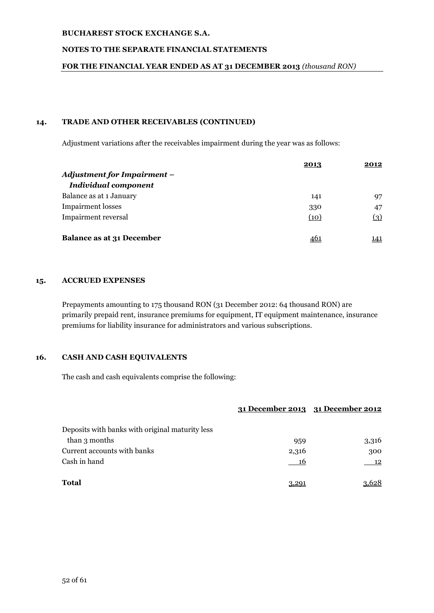## **NOTES TO THE SEPARATE FINANCIAL STATEMENTS**

#### **FOR THE FINANCIAL YEAR ENDED AS AT 31 DECEMBER 2013** *(thousand RON)*

### **14. TRADE AND OTHER RECEIVABLES (CONTINUED)**

Adjustment variations after the receivables impairment during the year was as follows:

|                                    | 2013       | 2012 |
|------------------------------------|------------|------|
| <b>Adjustment for Impairment -</b> |            |      |
| <b>Individual component</b>        |            |      |
| Balance as at 1 January            | 141        | 97   |
| <b>Impairment</b> losses           | 330        | 47   |
| <b>Impairment reversal</b>         | (10)       | (3)  |
|                                    |            |      |
| <b>Balance as at 31 December</b>   | <u>46:</u> | 141  |

#### **15. ACCRUED EXPENSES**

Prepayments amounting to 175 thousand RON (31 December 2012: 64 thousand RON) are primarily prepaid rent, insurance premiums for equipment, IT equipment maintenance, insurance premiums for liability insurance for administrators and various subscriptions.

## **16. CASH AND CASH EQUIVALENTS**

The cash and cash equivalents comprise the following:

|                                                 |       | 31 December 2013 31 December 2012 |
|-------------------------------------------------|-------|-----------------------------------|
| Deposits with banks with original maturity less |       |                                   |
| than 3 months                                   | 959   | 3,316                             |
| Current accounts with banks                     | 2,316 | 300                               |
| Cash in hand                                    | - 16  | - 12                              |
| <b>Total</b>                                    | 3.29  |                                   |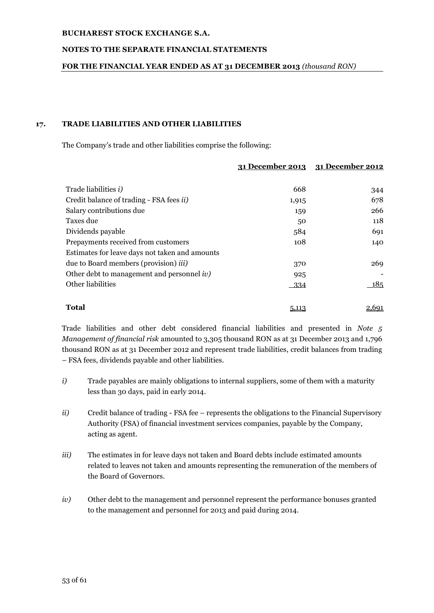## **NOTES TO THE SEPARATE FINANCIAL STATEMENTS**

## **FOR THE FINANCIAL YEAR ENDED AS AT 31 DECEMBER 2013** *(thousand RON)*

## **17. TRADE LIABILITIES AND OTHER LIABILITIES**

The Company's trade and other liabilities comprise the following:

|                                                  | 31 December 2013 | 31 December 2012 |
|--------------------------------------------------|------------------|------------------|
|                                                  |                  |                  |
| Trade liabilities <i>i</i> )                     | 668              | 344              |
| Credit balance of trading - FSA fees <i>ii</i> ) | 1,915            | 678              |
| Salary contributions due                         | 159              | 266              |
| Taxes due                                        | 50               | 118              |
| Dividends payable                                | 584              | 691              |
| Prepayments received from customers              | 108              | 140              |
| Estimates for leave days not taken and amounts   |                  |                  |
| due to Board members (provision) <i>iii</i> )    | 370              | 269              |
| Other debt to management and personnel $iv$ )    | 925              |                  |
| Other liabilities                                | $-334$           | <u> 185</u>      |
| <b>Total</b>                                     | 5,113            | <u>2,691</u>     |

Trade liabilities and other debt considered financial liabilities and presented in *Note 5 Management of financial risk* amounted to 3,305 thousand RON as at 31 December 2013 and 1,796 thousand RON as at 31 December 2012 and represent trade liabilities, credit balances from trading – FSA fees, dividends payable and other liabilities.

- *i*) Trade payables are mainly obligations to internal suppliers, some of them with a maturity less than 30 days, paid in early 2014.
- *ii*) Credit balance of trading FSA fee represents the obligations to the Financial Supervisory Authority (FSA) of financial investment services companies, payable by the Company, acting as agent.
- *iii*) The estimates in for leave days not taken and Board debts include estimated amounts related to leaves not taken and amounts representing the remuneration of the members of the Board of Governors.
- *iv*) Other debt to the management and personnel represent the performance bonuses granted to the management and personnel for 2013 and paid during 2014.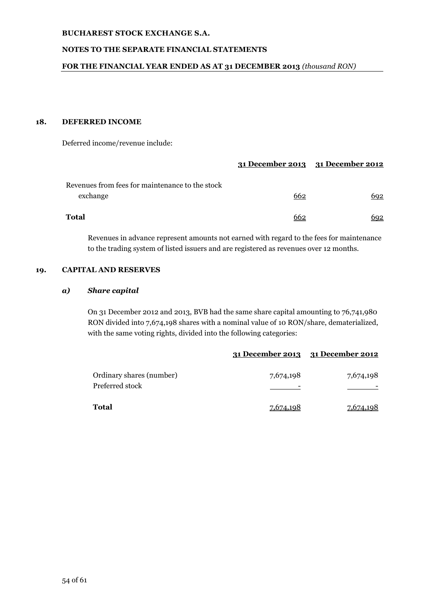## **NOTES TO THE SEPARATE FINANCIAL STATEMENTS**

#### **FOR THE FINANCIAL YEAR ENDED AS AT 31 DECEMBER 2013** *(thousand RON)*

#### **18. DEFERRED INCOME**

Deferred income/revenue include:

|                                                 | 31 December 2013 31 December 2012 |            |
|-------------------------------------------------|-----------------------------------|------------|
| Revenues from fees for maintenance to the stock |                                   |            |
| exchange                                        | 662                               | 692        |
| Total                                           | 662                               | <u>692</u> |

Revenues in advance represent amounts not earned with regard to the fees for maintenance to the trading system of listed issuers and are registered as revenues over 12 months.

## **19. CAPITAL AND RESERVES**

#### *a) Share capital*

On 31 December 2012 and 2013, BVB had the same share capital amounting to 76,741,980 RON divided into 7,674,198 shares with a nominal value of 10 RON/share, dematerialized, with the same voting rights, divided into the following categories:

|                                             |           | 31 December 2013 31 December 2012 |
|---------------------------------------------|-----------|-----------------------------------|
| Ordinary shares (number)<br>Preferred stock | 7,674,198 | 7,674,198                         |
| Total                                       | 7,674,198 | 7,674,198                         |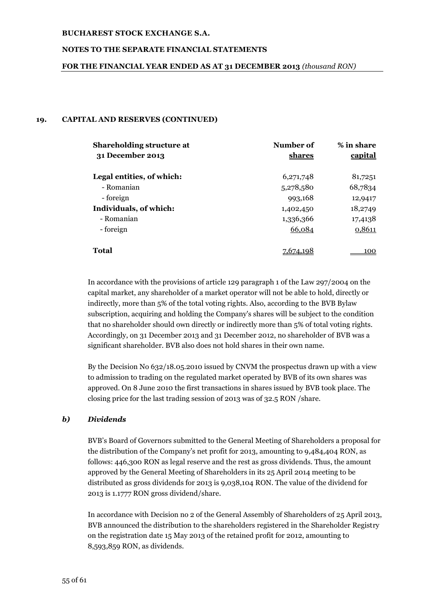### **NOTES TO THE SEPARATE FINANCIAL STATEMENTS**

#### **FOR THE FINANCIAL YEAR ENDED AS AT 31 DECEMBER 2013** *(thousand RON)*

#### **19. CAPITAL AND RESERVES (CONTINUED)**

| <b>Shareholding structure at</b><br>31 December 2013 | Number of<br><u>shares</u> | % in share<br><b>capital</b> |
|------------------------------------------------------|----------------------------|------------------------------|
| Legal entities, of which:                            | 6,271,748                  | 81,7251                      |
| - Romanian                                           | 5,278,580                  | 68,7834                      |
| - foreign                                            | 993,168                    | 12,9417                      |
| Individuals, of which:                               | 1,402,450                  | 18,2749                      |
| - Romanian                                           | 1,336,366                  | 17,4138                      |
| - foreign                                            | 66,084                     | 0,8611                       |
| <b>Total</b>                                         |                            | 100                          |

In accordance with the provisions of article 129 paragraph 1 of the Law 297/2004 on the capital market, any shareholder of a market operator will not be able to hold, directly or indirectly, more than 5% of the total voting rights. Also, according to the BVB Bylaw subscription, acquiring and holding the Company's shares will be subject to the condition that no shareholder should own directly or indirectly more than 5% of total voting rights. Accordingly, on 31 December 2013 and 31 December 2012, no shareholder of BVB was a significant shareholder. BVB also does not hold shares in their own name.

By the Decision No 632/18.05.2010 issued by CNVM the prospectus drawn up with a view to admission to trading on the regulated market operated by BVB of its own shares was approved. On 8 June 2010 the first transactions in shares issued by BVB took place. The closing price for the last trading session of 2013 was of 32.5 RON /share.

## *b) Dividends*

BVB's Board of Governors submitted to the General Meeting of Shareholders a proposal for the distribution of the Company's net profit for 2013, amounting to 9,484,404 RON, as follows: 446,300 RON as legal reserve and the rest as gross dividends. Thus, the amount approved by the General Meeting of Shareholders in its 25 April 2014 meeting to be distributed as gross dividends for 2013 is 9,038,104 RON. The value of the dividend for 2013 is 1.1777 RON gross dividend/share.

In accordance with Decision no 2 of the General Assembly of Shareholders of 25 April 2013, BVB announced the distribution to the shareholders registered in the Shareholder Registry on the registration date 15 May 2013 of the retained profit for 2012, amounting to 8,593,859 RON, as dividends.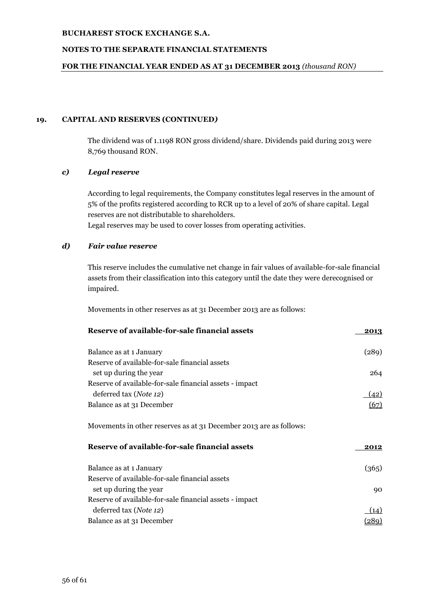## **NOTES TO THE SEPARATE FINANCIAL STATEMENTS**

#### **FOR THE FINANCIAL YEAR ENDED AS AT 31 DECEMBER 2013** *(thousand RON)*

## **19. CAPITAL AND RESERVES (CONTINUED***)*

The dividend was of 1.1198 RON gross dividend/share. Dividends paid during 2013 were 8,769 thousand RON.

## *c) Legal reserve*

According to legal requirements, the Company constitutes legal reserves in the amount of 5% of the profits registered according to RCR up to a level of 20% of share capital. Legal reserves are not distributable to shareholders.

Legal reserves may be used to cover losses from operating activities.

## *d) Fair value reserve*

This reserve includes the cumulative net change in fair values of available-for-sale financial assets from their classification into this category until the date they were derecognised or impaired.

Movements in other reserves as at 31 December 2013 are as follows:

|                                                                          | 2013  |
|--------------------------------------------------------------------------|-------|
| Balance as at 1 January                                                  | (289) |
| Reserve of available-for-sale financial assets<br>set up during the year | 264   |
| Reserve of available-for-sale financial assets - impact                  |       |
| deferred tax (Note 12)                                                   | (42)  |
| Balance as at 31 December                                                | (67)  |
| Movements in other reserves as at 31 December 2013 are as follows:       |       |
| Reserve of available-for-sale financial assets                           | 2012  |
| Balance as at 1 January                                                  | (365) |
| Reserve of available-for-sale financial assets<br>set up during the year | 90    |
| Reserve of available-for-sale financial assets - impact                  |       |
| deferred tax ( <i>Note 12</i> )                                          | (14)  |
|                                                                          |       |
| Balance as at 31 December                                                | (289) |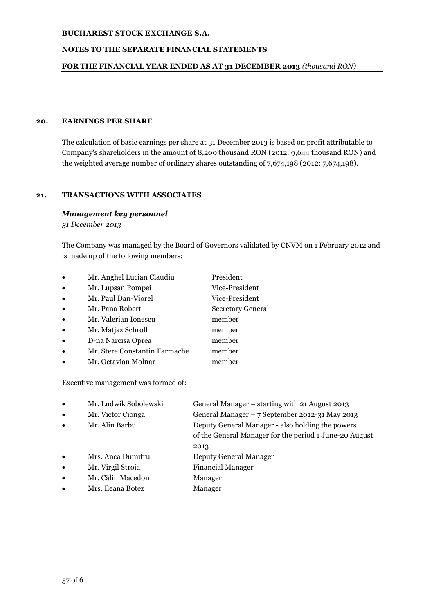## **NOTES TO THE SEPARATE FINANCIAL STATEMENTS**

## **FOR THE FINANCIAL YEAR ENDED AS AT 31 DECEMBER 2013** *(thousand RON)*

#### **20. EARNINGS PER SHARE**

The calculation of basic earnings per share at 31 December 2013 is based on profit attributable to Company's shareholders in the amount of 8,200 thousand RON (2012: 9,644 thousand RON) and the weighted average number of ordinary shares outstanding of 7,674,198 (2012: 7,674,198).

## **21. TRANSACTIONS WITH ASSOCIATES**

#### *Management key personnel*

*31 December 2013*

The Company was managed by the Board of Governors validated by CNVM on 1 February 2012 and is made up of the following members:

| $\bullet$ | Mr. Anghel Lucian Claudiu     | President                |
|-----------|-------------------------------|--------------------------|
| $\bullet$ | Mr. Lupsan Pompei             | Vice-President           |
| $\bullet$ | Mr. Paul Dan-Viorel           | Vice-President           |
| $\bullet$ | Mr. Pana Robert               | <b>Secretary General</b> |
| $\bullet$ | Mr. Valerian Ionescu          | member                   |
| $\bullet$ | Mr. Matjaz Schroll            | member                   |
| $\bullet$ | D-na Narcisa Oprea            | member                   |
| $\bullet$ | Mr. Stere Constantin Farmache | member                   |
|           | Mr. Octavian Molnar           | member                   |

Executive management was formed of:

| ٠         | Mr. Ludwik Sobolewski | General Manager – starting with 21 August 2013   |
|-----------|-----------------------|--------------------------------------------------|
| $\bullet$ | Mr. Victor Cionga     | General Manager – 7 September 2012-31 May 2013   |
| $\bullet$ | Mr. Alin Barbu        | Deputy General Manager - also holding the powers |

of the General Manager for the period 1 June-20 August 2013

- Mrs. Anca Dumitru Deputy General Manager
- Mr. Virgil Stroia Financial Manager
- Mr. Călin Macedon Manager
- Mrs. Ileana Botez Manager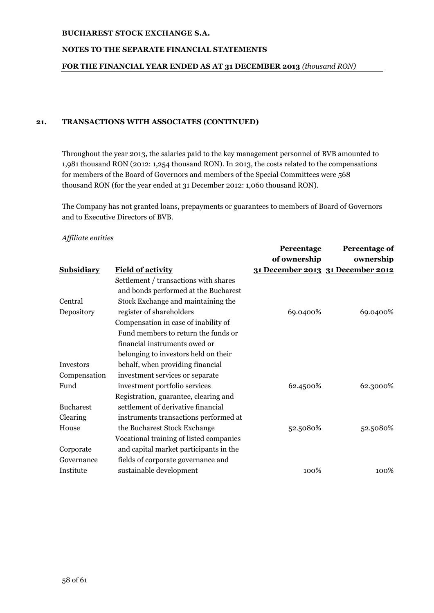## **NOTES TO THE SEPARATE FINANCIAL STATEMENTS**

## **FOR THE FINANCIAL YEAR ENDED AS AT 31 DECEMBER 2013** *(thousand RON)*

## **21. TRANSACTIONS WITH ASSOCIATES (CONTINUED)**

Throughout the year 2013, the salaries paid to the key management personnel of BVB amounted to 1,981 thousand RON (2012: 1,254 thousand RON). In 2013, the costs related to the compensations for members of the Board of Governors and members of the Special Committees were 568 thousand RON (for the year ended at 31 December 2012: 1,060 thousand RON).

The Company has not granted loans, prepayments or guarantees to members of Board of Governors and to Executive Directors of BVB.

## *Affiliate entities*

|                   |                                         | Percentage   | Percentage of                     |
|-------------------|-----------------------------------------|--------------|-----------------------------------|
|                   |                                         | of ownership | ownership                         |
| <b>Subsidiary</b> | <b>Field of activity</b>                |              | 31 December 2013 31 December 2012 |
|                   | Settlement / transactions with shares   |              |                                   |
|                   | and bonds performed at the Bucharest    |              |                                   |
| Central           | Stock Exchange and maintaining the      |              |                                   |
| Depository        | register of shareholders                | 69.0400%     | 69.0400%                          |
|                   | Compensation in case of inability of    |              |                                   |
|                   | Fund members to return the funds or     |              |                                   |
|                   | financial instruments owed or           |              |                                   |
|                   | belonging to investors held on their    |              |                                   |
| <b>Investors</b>  | behalf, when providing financial        |              |                                   |
| Compensation      | investment services or separate         |              |                                   |
| Fund              | investment portfolio services           | 62.4500%     | 62.3000%                          |
|                   | Registration, guarantee, clearing and   |              |                                   |
| <b>Bucharest</b>  | settlement of derivative financial      |              |                                   |
| Clearing          | instruments transactions performed at   |              |                                   |
| House             | the Bucharest Stock Exchange            | 52.5080%     | 52.5080%                          |
|                   | Vocational training of listed companies |              |                                   |
| Corporate         | and capital market participants in the  |              |                                   |
| Governance        | fields of corporate governance and      |              |                                   |
| Institute         | sustainable development                 | 100%         | 100%                              |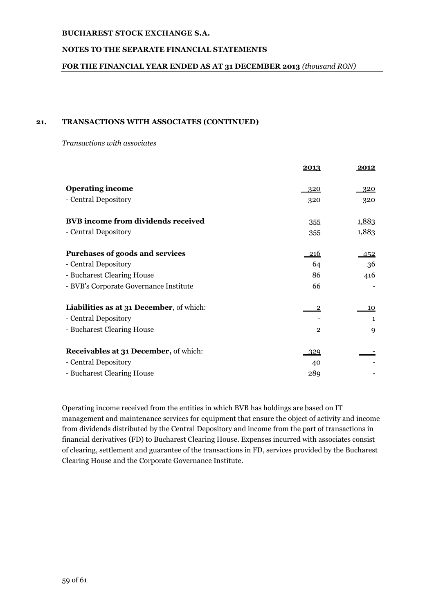## **NOTES TO THE SEPARATE FINANCIAL STATEMENTS**

## **FOR THE FINANCIAL YEAR ENDED AS AT 31 DECEMBER 2013** *(thousand RON)*

## **21. TRANSACTIONS WITH ASSOCIATES (CONTINUED)**

*Transactions with associates*

|                                              | 2013           | 2012         |
|----------------------------------------------|----------------|--------------|
| <b>Operating income</b>                      | <u>320</u>     | 320          |
| - Central Depository                         | 320            | 320          |
| <b>BVB</b> income from dividends received    | 355            | <u>1,883</u> |
| - Central Depository                         | 355            | 1,883        |
| Purchases of goods and services              | <u> 216</u>    | 452          |
| - Central Depository                         | 64             | 36           |
| - Bucharest Clearing House                   | 86             | 416          |
| - BVB's Corporate Governance Institute       | 66             |              |
| Liabilities as at 31 December, of which:     | $\overline{c}$ | 10           |
| - Central Depository                         |                | 1            |
| - Bucharest Clearing House                   | $\overline{2}$ | 9            |
| <b>Receivables at 31 December, of which:</b> | 329            |              |
| - Central Depository                         | 40             |              |
| - Bucharest Clearing House                   | 289            |              |

Operating income received from the entities in which BVB has holdings are based on IT management and maintenance services for equipment that ensure the object of activity and income from dividends distributed by the Central Depository and income from the part of transactions in financial derivatives (FD) to Bucharest Clearing House. Expenses incurred with associates consist of clearing, settlement and guarantee of the transactions in FD, services provided by the Bucharest Clearing House and the Corporate Governance Institute.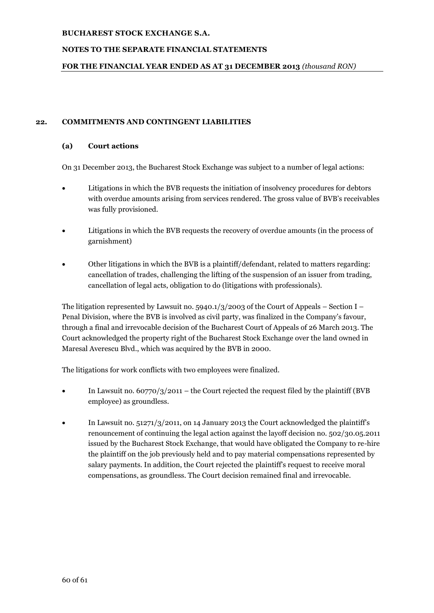## **NOTES TO THE SEPARATE FINANCIAL STATEMENTS**

## **FOR THE FINANCIAL YEAR ENDED AS AT 31 DECEMBER 2013** *(thousand RON)*

## **22. COMMITMENTS AND CONTINGENT LIABILITIES**

## **(a) Court actions**

On 31 December 2013, the Bucharest Stock Exchange was subject to a number of legal actions:

- Litigations in which the BVB requests the initiation of insolvency procedures for debtors with overdue amounts arising from services rendered. The gross value of BVB's receivables was fully provisioned.
- Litigations in which the BVB requests the recovery of overdue amounts (in the process of garnishment)
- Other litigations in which the BVB is a plaintiff/defendant, related to matters regarding: cancellation of trades, challenging the lifting of the suspension of an issuer from trading, cancellation of legal acts, obligation to do (litigations with professionals).

The litigation represented by Lawsuit no. 5940.1/3/2003 of the Court of Appeals – Section I – Penal Division, where the BVB is involved as civil party, was finalized in the Company's favour, through a final and irrevocable decision of the Bucharest Court of Appeals of 26 March 2013. The Court acknowledged the property right of the Bucharest Stock Exchange over the land owned in Maresal Averescu Blvd., which was acquired by the BVB in 2000.

The litigations for work conflicts with two employees were finalized.

- In Lawsuit no. 60770/3/2011 the Court rejected the request filed by the plaintiff (BVB employee) as groundless.
- In Lawsuit no. 51271/3/2011, on 14 January 2013 the Court acknowledged the plaintiff's renouncement of continuing the legal action against the layoff decision no. 502/30.05.2011 issued by the Bucharest Stock Exchange, that would have obligated the Company to re-hire the plaintiff on the job previously held and to pay material compensations represented by salary payments. In addition, the Court rejected the plaintiff's request to receive moral compensations, as groundless. The Court decision remained final and irrevocable.